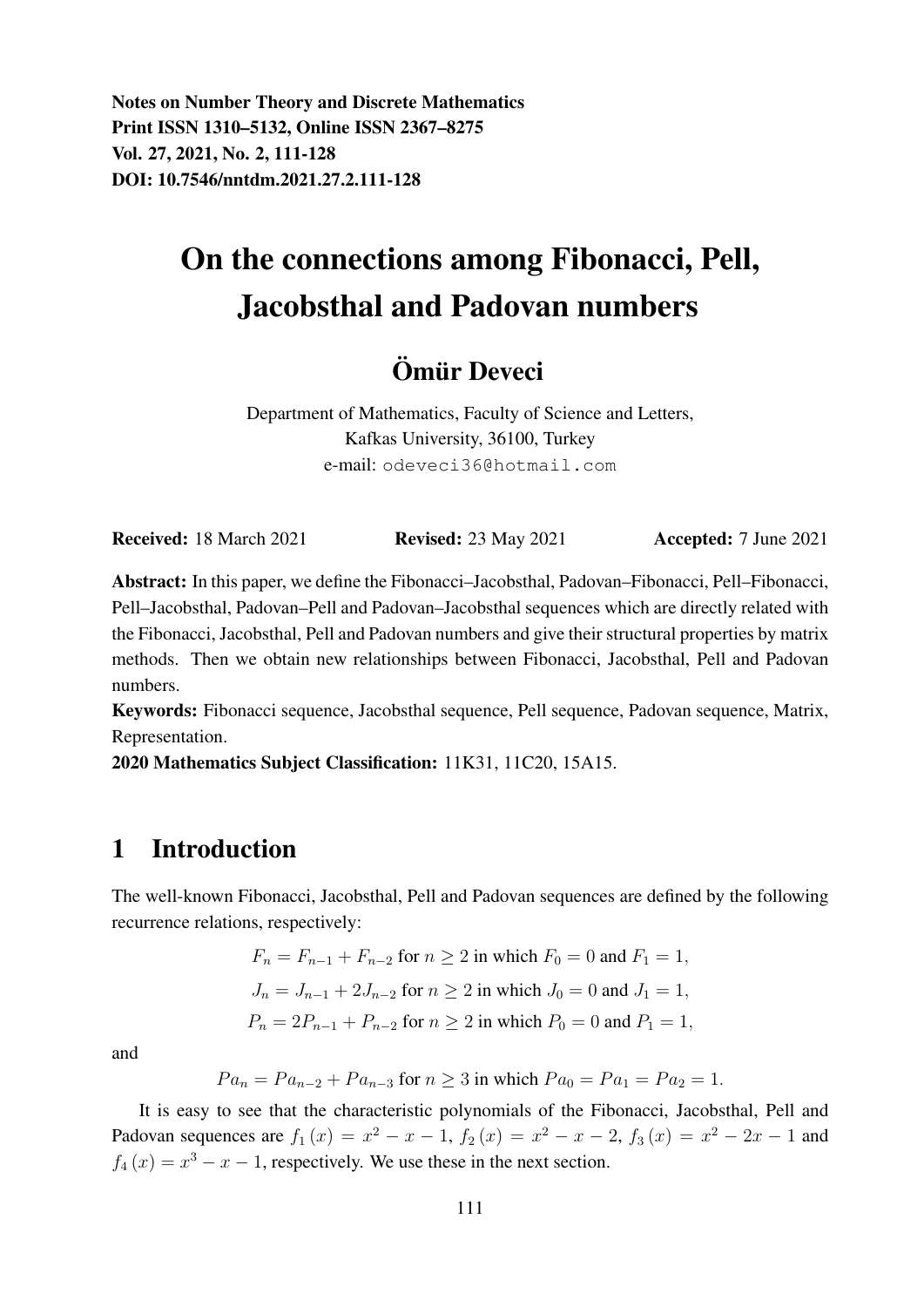Notes on Number Theory and Discrete Mathematics Print ISSN 1310–5132, Online ISSN 2367–8275 Vol. 27, 2021, No. 2, 111-128 DOI: 10.7546/nntdm.2021.27.2.111-128

# On the connections among Fibonacci, Pell, Jacobsthal and Padovan numbers

## Ömür Deveci

Department of Mathematics, Faculty of Science and Letters, Kafkas University, 36100, Turkey e-mail: odeveci36@hotmail.com

Received: 18 March 2021 Revised: 23 May 2021 Accepted: 7 June 2021

Abstract: In this paper, we define the Fibonacci–Jacobsthal, Padovan–Fibonacci, Pell–Fibonacci, Pell–Jacobsthal, Padovan–Pell and Padovan–Jacobsthal sequences which are directly related with the Fibonacci, Jacobsthal, Pell and Padovan numbers and give their structural properties by matrix methods. Then we obtain new relationships between Fibonacci, Jacobsthal, Pell and Padovan numbers.

Keywords: Fibonacci sequence, Jacobsthal sequence, Pell sequence, Padovan sequence, Matrix, Representation.

2020 Mathematics Subject Classification: 11K31, 11C20, 15A15.

## 1 Introduction

The well-known Fibonacci, Jacobsthal, Pell and Padovan sequences are defined by the following recurrence relations, respectively:

$$
F_n = F_{n-1} + F_{n-2} \text{ for } n \ge 2 \text{ in which } F_0 = 0 \text{ and } F_1 = 1,
$$
  
\n
$$
J_n = J_{n-1} + 2J_{n-2} \text{ for } n \ge 2 \text{ in which } J_0 = 0 \text{ and } J_1 = 1,
$$
  
\n
$$
P_n = 2P_{n-1} + P_{n-2} \text{ for } n \ge 2 \text{ in which } P_0 = 0 \text{ and } P_1 = 1,
$$

and

$$
Pa_n = Pa_{n-2} + Pa_{n-3}
$$
 for  $n \ge 3$  in which  $Pa_0 = Pa_1 = Pa_2 = 1$ .

It is easy to see that the characteristic polynomials of the Fibonacci, Jacobsthal, Pell and Padovan sequences are  $f_1(x) = x^2 - x - 1$ ,  $f_2(x) = x^2 - x - 2$ ,  $f_3(x) = x^2 - 2x - 1$  and  $f_4(x) = x^3 - x - 1$ , respectively. We use these in the next section.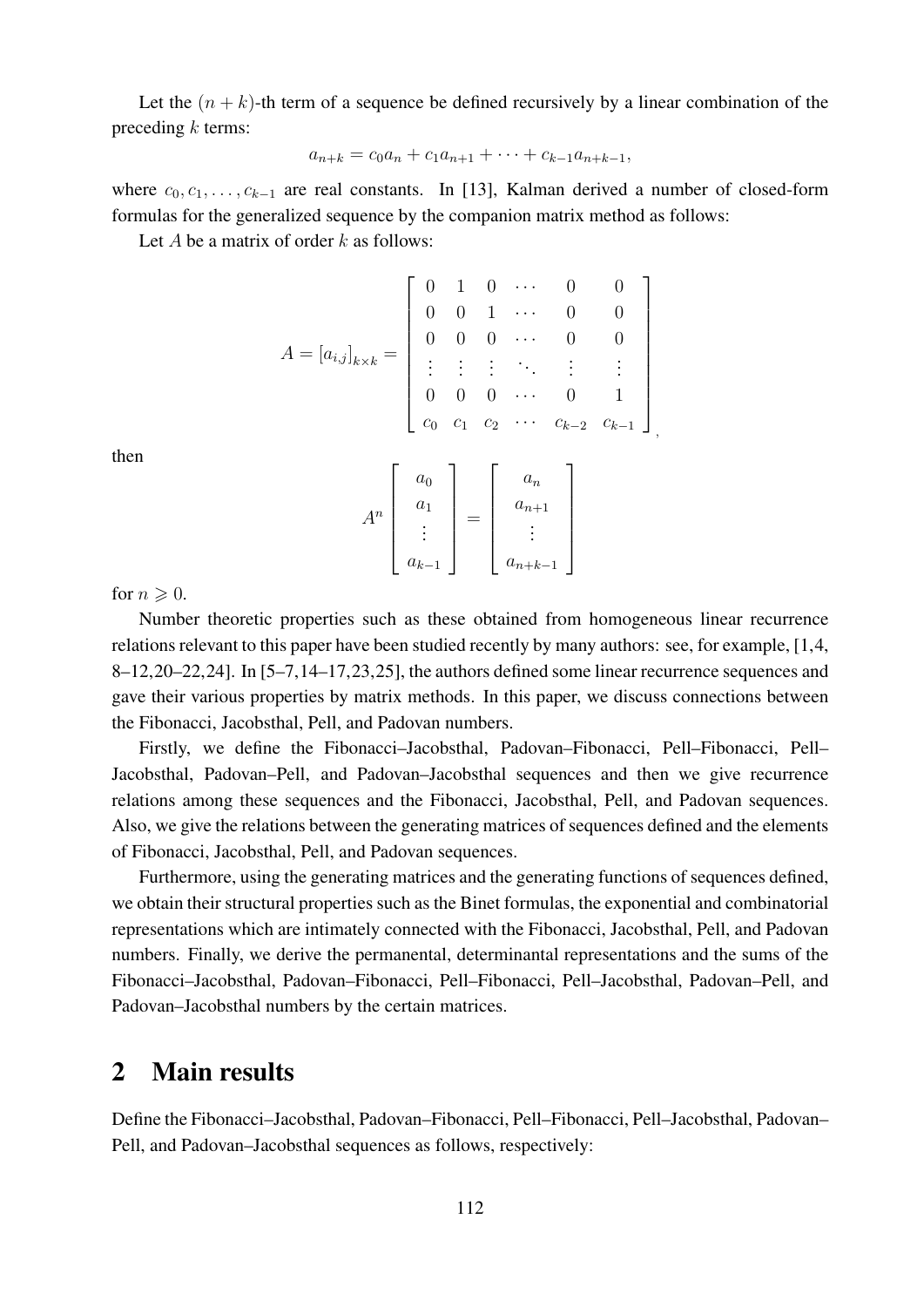Let the  $(n + k)$ -th term of a sequence be defined recursively by a linear combination of the preceding  $k$  terms:

$$
a_{n+k} = c_0 a_n + c_1 a_{n+1} + \dots + c_{k-1} a_{n+k-1},
$$

where  $c_0, c_1, \ldots, c_{k-1}$  are real constants. In [13], Kalman derived a number of closed-form formulas for the generalized sequence by the companion matrix method as follows:

Let A be a matrix of order  $k$  as follows:

$$
A = [a_{i,j}]_{k \times k} = \begin{bmatrix} 0 & 1 & 0 & \cdots & 0 & 0 \\ 0 & 0 & 1 & \cdots & 0 & 0 \\ 0 & 0 & 0 & \cdots & 0 & 0 \\ \vdots & \vdots & \vdots & \ddots & \vdots & \vdots \\ 0 & 0 & 0 & \cdots & 0 & 1 \\ c_0 & c_1 & c_2 & \cdots & c_{k-2} & c_{k-1} \end{bmatrix}
$$

$$
A^{n} \begin{bmatrix} a_{0} \\ a_{1} \\ \vdots \\ a_{k-1} \end{bmatrix} = \begin{bmatrix} a_{n} \\ a_{n+1} \\ \vdots \\ a_{n+k-1} \end{bmatrix}
$$

then

for  $n \geqslant 0$ .

Number theoretic properties such as these obtained from homogeneous linear recurrence relations relevant to this paper have been studied recently by many authors: see, for example, [1,4,  $8-12,20-22,24$ . In [5-7,14-17,23,25], the authors defined some linear recurrence sequences and gave their various properties by matrix methods. In this paper, we discuss connections between the Fibonacci, Jacobsthal, Pell, and Padovan numbers.

Firstly, we define the Fibonacci–Jacobsthal, Padovan–Fibonacci, Pell–Fibonacci, Pell– Jacobsthal, Padovan–Pell, and Padovan–Jacobsthal sequences and then we give recurrence relations among these sequences and the Fibonacci, Jacobsthal, Pell, and Padovan sequences. Also, we give the relations between the generating matrices of sequences defined and the elements of Fibonacci, Jacobsthal, Pell, and Padovan sequences.

Furthermore, using the generating matrices and the generating functions of sequences defined, we obtain their structural properties such as the Binet formulas, the exponential and combinatorial representations which are intimately connected with the Fibonacci, Jacobsthal, Pell, and Padovan numbers. Finally, we derive the permanental, determinantal representations and the sums of the Fibonacci–Jacobsthal, Padovan–Fibonacci, Pell–Fibonacci, Pell–Jacobsthal, Padovan–Pell, and Padovan–Jacobsthal numbers by the certain matrices.

## 2 Main results

Define the Fibonacci–Jacobsthal, Padovan–Fibonacci, Pell–Fibonacci, Pell–Jacobsthal, Padovan– Pell, and Padovan–Jacobsthal sequences as follows, respectively: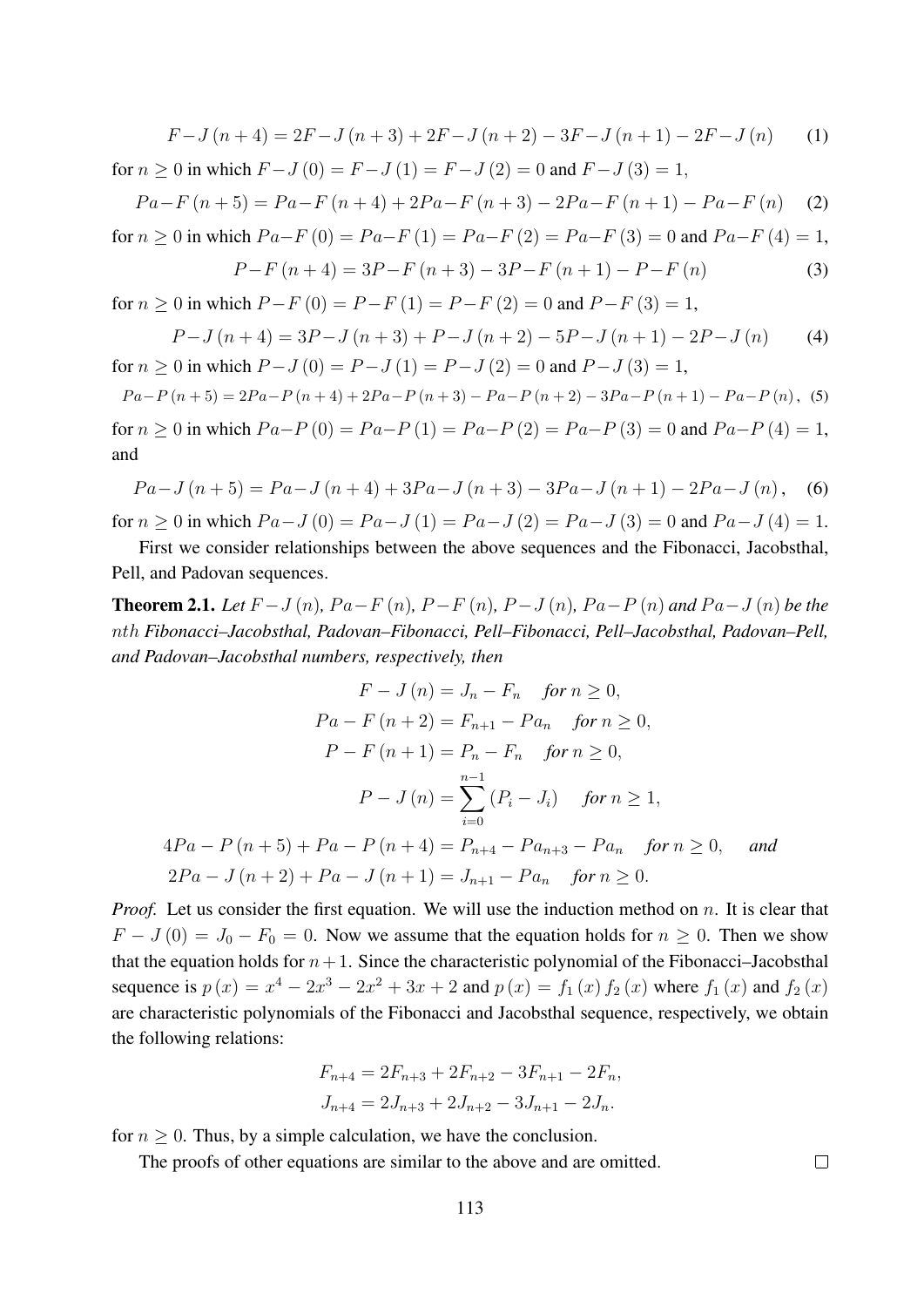$$
F-J(n+4) = 2F-J(n+3) + 2F-J(n+2) - 3F-J(n+1) - 2F-J(n)
$$
 (1)  
for  $n \ge 0$  in which  $F-J(0) = F-J(1) = F-J(2) = 0$  and  $F-J(3) = 1$ ,

$$
Pa - F(n+5) = Pa - F(n+4) + 2Pa - F(n+3) - 2Pa - F(n+1) - Pa - F(n)
$$
 (2)

for 
$$
n \ge 0
$$
 in which  $Pa-F(0) = Pa-F(1) = Pa-F(2) = Pa-F(3) = 0$  and  $Pa-F(4) = 1$ ,

$$
P - F(n+4) = 3P - F(n+3) - 3P - F(n+1) - P - F(n)
$$
\n(3)

for  $n > 0$  in which  $P - F(0) = P - F(1) = P - F(2) = 0$  and  $P - F(3) = 1$ ,

$$
P-J(n+4) = 3P-J(n+3) + P-J(n+2) - 5P-J(n+1) - 2P-J(n)
$$
 (4)  
for  $n \ge 0$  in which  $P-J(0) = P-J(1) = P-J(2) = 0$  and  $P-J(3) = 1$ ,

 $Pa-P(n+5) = 2Pa-P(n+4) + 2Pa-P(n+3) - Pa-P(n+2) - 3Pa-P(n+1) - Pa-P(n),$  (5) for  $n \ge 0$  in which  $Pa-P(0) = Pa-P(1) = Pa-P(2) = Pa-P(3) = 0$  and  $Pa-P(4) = 1$ , and

$$
Pa-J(n+5) = Pa-J(n+4) + 3Pa-J(n+3) - 3Pa-J(n+1) - 2Pa-J(n),
$$
 (6)

for  $n > 0$  in which  $Pa-J(0) = Pa-J(1) = Pa-J(2) = Pa-J(3) = 0$  and  $Pa-J(4) = 1$ .

First we consider relationships between the above sequences and the Fibonacci, Jacobsthal, Pell, and Padovan sequences.

**Theorem 2.1.** *Let*  $F - J(n)$ *,*  $Pa - F(n)$ *,*  $P - F(n)$ *,*  $P - J(n)$ *,*  $Pa - P(n)$  *and*  $Pa - J(n)$  *be the* nth *Fibonacci–Jacobsthal, Padovan–Fibonacci, Pell–Fibonacci, Pell–Jacobsthal, Padovan–Pell, and Padovan–Jacobsthal numbers, respectively, then*

$$
F - J(n) = J_n - F_n \quad \text{for } n \ge 0,
$$
  
\n
$$
Pa - F(n+2) = F_{n+1} - Pa_n \quad \text{for } n \ge 0,
$$
  
\n
$$
P - F(n+1) = P_n - F_n \quad \text{for } n \ge 0,
$$
  
\n
$$
P - J(n) = \sum_{i=0}^{n-1} (P_i - J_i) \quad \text{for } n \ge 1,
$$
  
\n
$$
4Pa - P(n+5) + Pa - P(n+4) = P_{n+4} - Pa_{n+3} - Pa_n \quad \text{for } n \ge 0, \quad \text{and}
$$
  
\n
$$
2Pa - J(n+2) + Pa - J(n+1) = J_{n+1} - Pa_n \quad \text{for } n \ge 0.
$$

*Proof.* Let us consider the first equation. We will use the induction method on n. It is clear that  $F - J(0) = J_0 - F_0 = 0$ . Now we assume that the equation holds for  $n \ge 0$ . Then we show that the equation holds for  $n+1$ . Since the characteristic polynomial of the Fibonacci–Jacobsthal sequence is  $p(x) = x^4 - 2x^3 - 2x^2 + 3x + 2$  and  $p(x) = f_1(x) f_2(x)$  where  $f_1(x)$  and  $f_2(x)$ are characteristic polynomials of the Fibonacci and Jacobsthal sequence, respectively, we obtain the following relations:

$$
F_{n+4} = 2F_{n+3} + 2F_{n+2} - 3F_{n+1} - 2F_n,
$$
  
\n
$$
J_{n+4} = 2J_{n+3} + 2J_{n+2} - 3J_{n+1} - 2J_n.
$$

for  $n \geq 0$ . Thus, by a simple calculation, we have the conclusion.

The proofs of other equations are similar to the above and are omitted.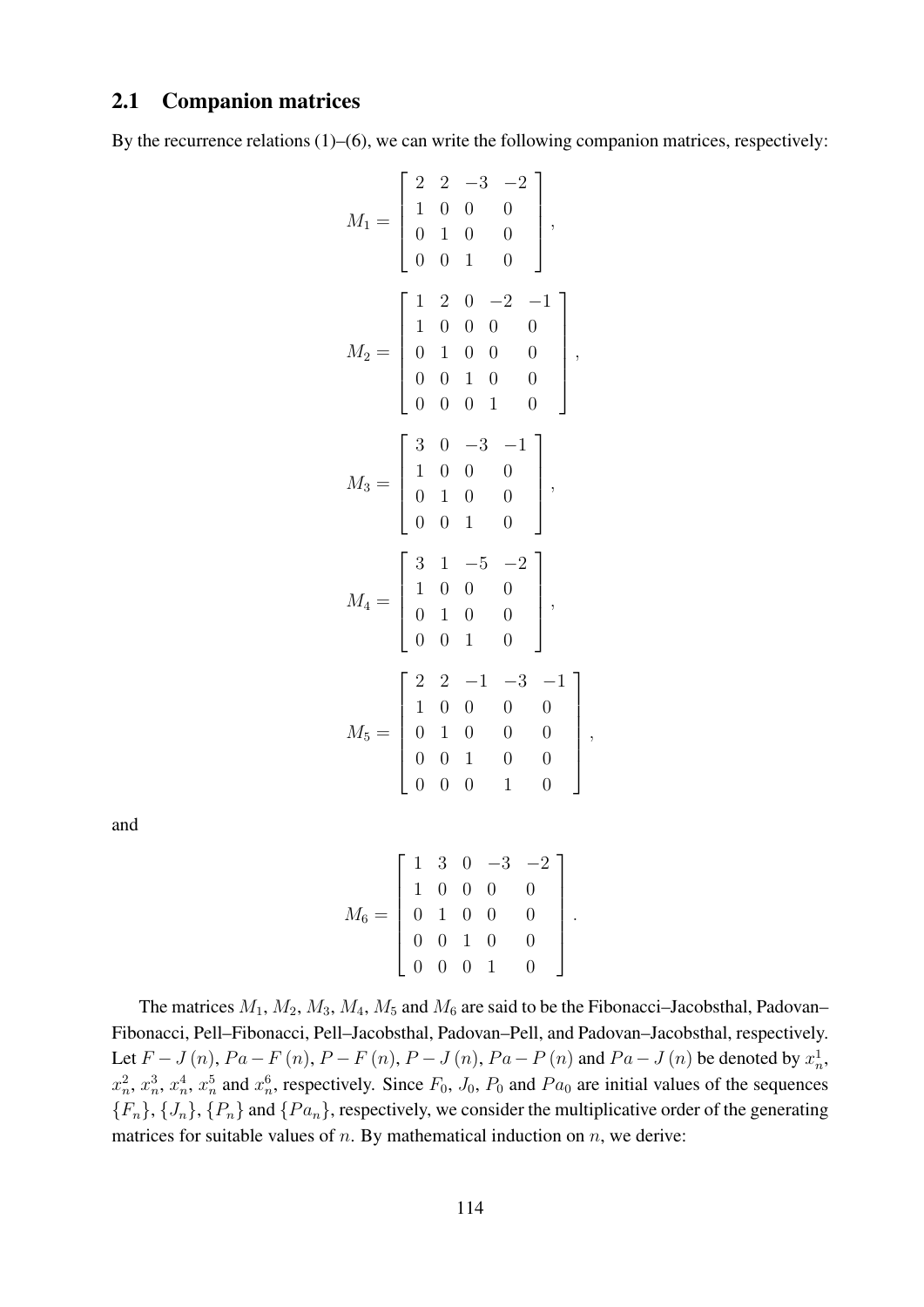### 2.1 Companion matrices

By the recurrence relations (1)–(6), we can write the following companion matrices, respectively:

$$
M_1 = \begin{bmatrix} 2 & 2 & -3 & -2 \\ 1 & 0 & 0 & 0 \\ 0 & 1 & 0 & 0 \\ 0 & 0 & 1 & 0 \end{bmatrix},
$$
  
\n
$$
M_2 = \begin{bmatrix} 1 & 2 & 0 & -2 & -1 \\ 1 & 0 & 0 & 0 & 0 \\ 0 & 1 & 0 & 0 & 0 \\ 0 & 0 & 1 & 0 & 0 \\ 0 & 0 & 0 & 1 & 0 \end{bmatrix},
$$
  
\n
$$
M_3 = \begin{bmatrix} 3 & 0 & -3 & -1 \\ 1 & 0 & 0 & 0 \\ 0 & 1 & 0 & 0 \\ 0 & 0 & 1 & 0 \end{bmatrix},
$$
  
\n
$$
M_4 = \begin{bmatrix} 3 & 1 & -5 & -2 \\ 1 & 0 & 0 & 0 \\ 0 & 1 & 0 & 0 \\ 0 & 0 & 1 & 0 \end{bmatrix},
$$
  
\n
$$
M_5 = \begin{bmatrix} 2 & 2 & -1 & -3 & -1 \\ 1 & 0 & 0 & 0 & 0 \\ 0 & 1 & 0 & 0 & 0 \\ 0 & 0 & 1 & 0 & 0 \\ 0 & 0 & 0 & 1 & 0 \end{bmatrix}
$$

and

$$
M_6 = \left[\begin{array}{cccccc} 1 & 3 & 0 & -3 & -2 \\ 1 & 0 & 0 & 0 & 0 \\ 0 & 1 & 0 & 0 & 0 \\ 0 & 0 & 1 & 0 & 0 \\ 0 & 0 & 0 & 1 & 0 \end{array}\right].
$$

,

The matrices  $M_1$ ,  $M_2$ ,  $M_3$ ,  $M_4$ ,  $M_5$  and  $M_6$  are said to be the Fibonacci–Jacobsthal, Padovan– Fibonacci, Pell–Fibonacci, Pell–Jacobsthal, Padovan–Pell, and Padovan–Jacobsthal, respectively. Let  $F - J(n)$ ,  $Pa - F(n)$ ,  $P - F(n)$ ,  $P - J(n)$ ,  $Pa - P(n)$  and  $Pa - J(n)$  be denoted by  $x_n^1$ ,  $x_n^2$ ,  $x_n^3$ ,  $x_n^4$ ,  $x_n^5$  and  $x_n^6$ , respectively. Since  $F_0$ ,  $J_0$ ,  $P_0$  and  $Pa_0$  are initial values of the sequences  ${F_n}, {J_n}, {P_n}$  and  ${Pa_n}$ , respectively, we consider the multiplicative order of the generating matrices for suitable values of  $n$ . By mathematical induction on  $n$ , we derive: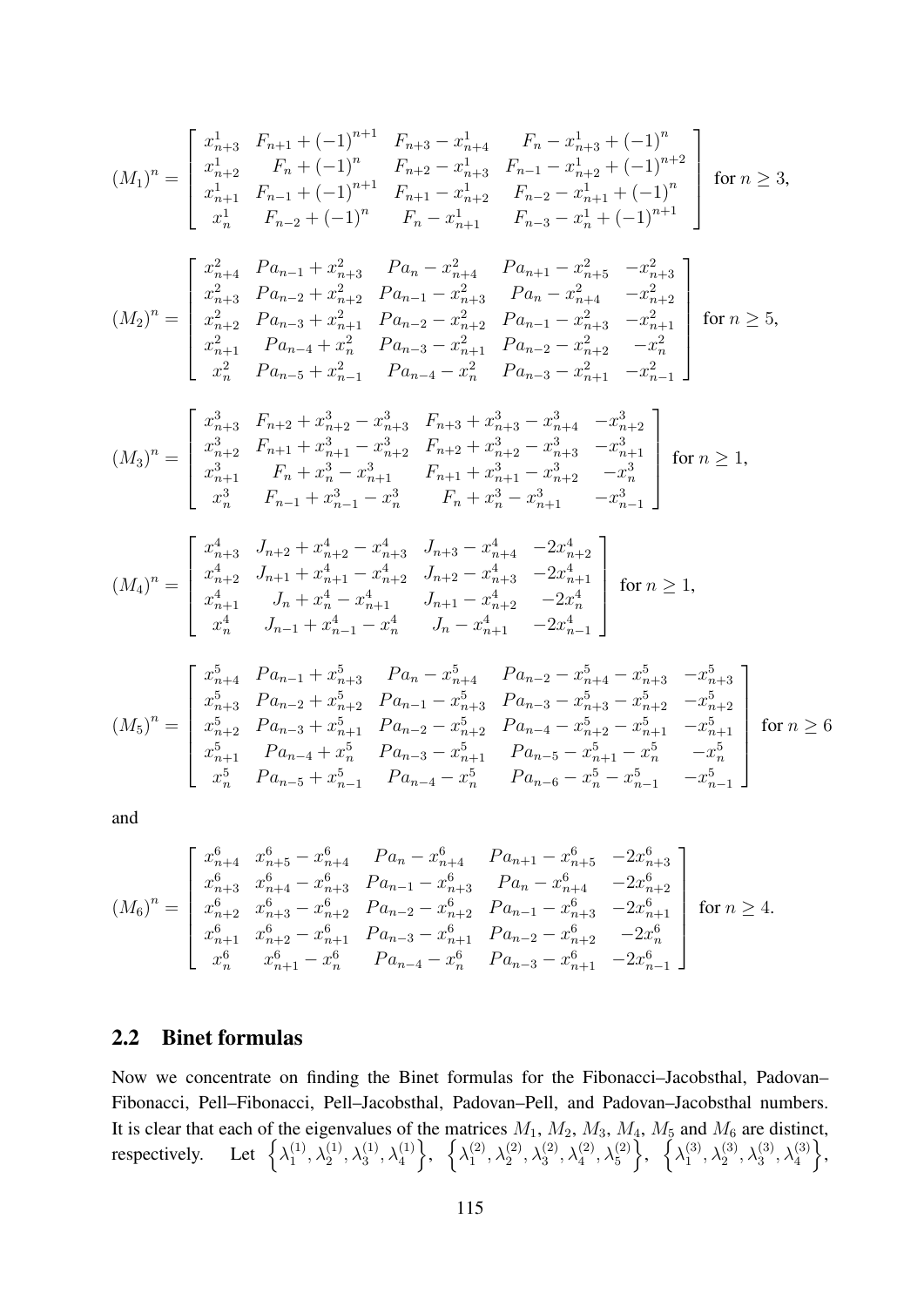$$
(M_{1})^{n} = \begin{bmatrix} x_{n+3}^{1} & F_{n+1} + (-1)^{n+1} & F_{n+3} - x_{n+4}^{1} & F_{n} - x_{n+3}^{1} + (-1)^{n} \\ x_{n+2}^{1} & F_{n} + (-1)^{n} & F_{n+2} - x_{n+3}^{1} & F_{n-1} - x_{n+2}^{1} + (-1)^{n+2} \\ x_{n+1}^{1} & F_{n-1} + (-1)^{n+1} & F_{n+1} - x_{n+2}^{1} & F_{n-2} - x_{n+1}^{1} + (-1)^{n} \\ x_{n}^{1} & F_{n-2} + (-1)^{n} & F_{n} - x_{n+1}^{1} & F_{n-3} - x_{n}^{1} + (-1)^{n+1} \end{bmatrix} \text{ for } n \ge 3,
$$
  

$$
(M_{2})^{n} = \begin{bmatrix} x_{n+4}^{2} & Pa_{n-1} + x_{n+3}^{2} & Pa_{n} - x_{n+4}^{2} & Pa_{n+1} - x_{n+5}^{2} & -x_{n+3}^{2} \\ x_{n+3}^{2} & Pa_{n-2} + x_{n+2}^{2} & Pa_{n-1} - x_{n+3}^{2} & Pa_{n} - x_{n+4}^{2} & -x_{n+2}^{2} \\ x_{n+1}^{2} & Pa_{n-3} + x_{n+1}^{2} & Pa_{n-2} - x_{n+2}^{2} & Pa_{n-1} - x_{n+3}^{2} & -x_{n+1}^{2} \\ x_{n}^{2} & Pa_{n-4} + x_{n}^{2} & Pa_{n-3} - x_{n+1}^{2} & Pa_{n-2} - x_{n+2}^{2} & -x_{n}^{2} \\ x_{n}^{2} & Pa_{n-5} + x_{n-1}^{2} & Pa_{n-4} - x_{n}^{2} & Pa_{n-3} - x_{n+1}^{2} & -x_{n-1}^{2} \end{bmatrix} \text{ for } n \ge 5,
$$
  

$$
(M_{3})^{n} = \begin{bmatrix} x_{n+3}^{3} & F_{n+2} + x_{n+2}^{3} - x_{n+3}^{3} & F_{n+3} + x_{n+3}^{3} - x_{n+4}^{3}
$$

$$
(M_4)^n = \begin{bmatrix} x_{n+3}^4 & J_{n+2} + x_{n+2}^4 - x_{n+3}^4 & J_{n+3} - x_{n+4}^4 & -2x_{n+2}^4 \\ x_{n+2}^4 & J_{n+1} + x_{n+1}^4 - x_{n+2}^4 & J_{n+2} - x_{n+3}^4 & -2x_{n+1}^4 \\ x_{n+1}^4 & J_n + x_n^4 - x_{n+1}^4 & J_{n+1} - x_{n+2}^4 & -2x_n^4 \\ x_n^4 & J_{n-1} + x_{n-1}^4 - x_n^4 & J_n - x_{n+1}^4 & -2x_{n-1}^4 \end{bmatrix} \text{ for } n \ge 1,
$$

$$
(M_5)^n = \begin{bmatrix} x_{n+4}^5 & Pa_{n-1} + x_{n+3}^5 & Pa_n - x_{n+4}^5 & Pa_{n-2} - x_{n+4}^5 - x_{n+3}^5 & -x_{n+3}^5 \\ x_{n+3}^5 & Pa_{n-2} + x_{n+2}^5 & Pa_{n-1} - x_{n+3}^5 & Pa_{n-3} - x_{n+3}^5 - x_{n+2}^5 & -x_{n+2}^5 \\ x_{n+2}^5 & Pa_{n-3} + x_{n+1}^5 & Pa_{n-2} - x_{n+2}^5 & Pa_{n-4} - x_{n+2}^5 - x_{n+1}^5 & -x_{n+1}^5 \\ x_{n+1}^5 & Pa_{n-4} + x_n^5 & Pa_{n-3} - x_{n+1}^5 & Pa_{n-5} - x_{n+1}^5 - x_n^5 & -x_n^5 \\ x_n^5 & Pa_{n-5} + x_{n-1}^5 & Pa_{n-4} - x_n^5 & Pa_{n-6} - x_n^5 - x_{n-1}^5 & -x_{n-1}^5 \end{bmatrix} \text{ for } n \ge 6
$$

and

$$
(M_6)^n = \begin{bmatrix} x_{n+4}^6 & x_{n+5}^6 - x_{n+4}^6 & Pa_n - x_{n+4}^6 & Pa_{n+1} - x_{n+5}^6 & -2x_{n+3}^6 \\ x_{n+3}^6 & x_{n+4}^6 - x_{n+3}^6 & Pa_{n-1} - x_{n+3}^6 & Pa_n - x_{n+4}^6 & -2x_{n+2}^6 \\ x_{n+2}^6 & x_{n+3}^6 - x_{n+2}^6 & Pa_{n-2} - x_{n+2}^6 & Pa_{n-1} - x_{n+3}^6 & -2x_{n+1}^6 \\ x_{n+1}^6 & x_{n+2}^6 - x_{n+1}^6 & Pa_{n-3} - x_{n+1}^6 & Pa_{n-2} - x_{n+2}^6 & -2x_n^6 \\ x_n^6 & x_{n+1}^6 - x_n^6 & Pa_{n-4} - x_n^6 & Pa_{n-3} - x_{n+1}^6 & -2x_{n-1}^6 \end{bmatrix}
$$
 for  $n \ge 4$ .

## 2.2 Binet formulas

Now we concentrate on finding the Binet formulas for the Fibonacci–Jacobsthal, Padovan– Fibonacci, Pell–Fibonacci, Pell–Jacobsthal, Padovan–Pell, and Padovan–Jacobsthal numbers. It is clear that each of the eigenvalues of the matrices  $M_1$ ,  $M_2$ ,  $M_3$ ,  $M_4$ ,  $M_5$  and  $M_6$  are distinct, respectively. Let  $\{\lambda_1^{(1)}\}$  $\left\{\lambda_1^{(1)},\lambda_2^{(1)},\lambda_3^{(1)},\lambda_4^{(1)}\right\}, \ \ \left\{\lambda_1^{(2)}\right\}$  $\{\lambda_1^{(2)}, \lambda_2^{(2)}, \lambda_3^{(2)}, \lambda_4^{(2)}, \lambda_5^{(2)}\}, \ \{\lambda_1^{(3)}\}$  $\{\lambda_1^{(3)},\lambda_2^{(3)},\lambda_3^{(3)},\lambda_4^{(3)}\},$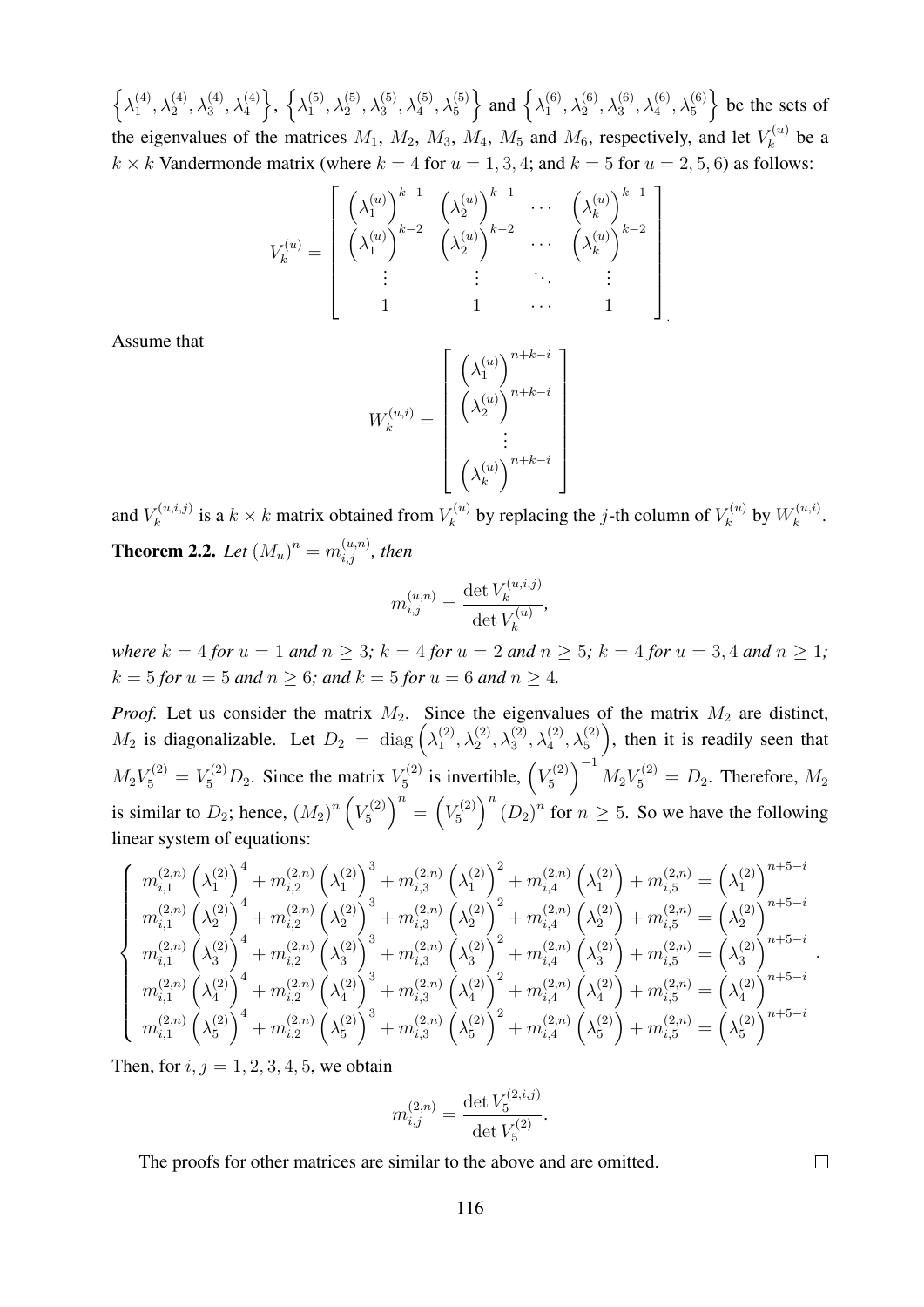$\left\{\lambda_1^{(4)}\right\}$  $\left\{\lambda_1^{(4)},\lambda_2^{(4)},\lambda_3^{(4)},\lambda_4^{(4)}\right\},\;\left\{\lambda_1^{(5)}\right\}$  $\left\{\lambda_1^{(5)},\lambda_2^{(5)},\lambda_3^{(5)},\lambda_4^{(5)},\lambda_5^{(5)}\right\}$  and  $\left\{\lambda_1^{(6)}\right\}$  $\left\{\binom{6}{1}, \lambda_2^{(6)}, \lambda_3^{(6)}, \lambda_4^{(6)}, \lambda_5^{(6)}\right\}$  be the sets of the eigenvalues of the matrices  $M_1$ ,  $M_2$ ,  $M_3$ ,  $M_4$ ,  $M_5$  and  $M_6$ , respectively, and let  $V_k^{(u)}$  $\chi_k^{(u)}$  be a  $k \times k$  Vandermonde matrix (where  $k = 4$  for  $u = 1, 3, 4$ ; and  $k = 5$  for  $u = 2, 5, 6$ ) as follows:

$$
V_k^{(u)} = \begin{bmatrix} \left(\lambda_1^{(u)}\right)^{k-1} & \left(\lambda_2^{(u)}\right)^{k-1} & \cdots & \left(\lambda_k^{(u)}\right)^{k-1} \\ \left(\lambda_1^{(u)}\right)^{k-2} & \left(\lambda_2^{(u)}\right)^{k-2} & \cdots & \left(\lambda_k^{(u)}\right)^{k-2} \\ \vdots & \vdots & \ddots & \vdots \\ 1 & 1 & \cdots & 1 \end{bmatrix}
$$

Assume that

$$
W_k^{(u,i)} = \begin{bmatrix} \left(\lambda_1^{(u)}\right)^{n+k-i} \\ \left(\lambda_2^{(u)}\right)^{n+k-i} \\ \vdots \\ \left(\lambda_k^{(u)}\right)^{n+k-i} \end{bmatrix}
$$

and  $V_k^{(u,i,j)}$  $y_k^{(u,i,j)}$  is a  $k \times k$  matrix obtained from  $V_k^{(u)}$  $V_k^{(u)}$  by replacing the *j*-th column of  $V_k^{(u)}$  $\mathop{\mathrm{f}}_k^{(u)}$  by  $W_k^{(u,i)}$  $\frac{k^{(u,i)}}{k}$ . **Theorem 2.2.** Let  $(M_u)^n = m_{i,j}^{(u,n)}$ , then

$$
m_{i,j}^{(u,n)} = \frac{\det V_k^{(u,i,j)}}{\det V_k^{(u)}},
$$

*where*  $k = 4$  *for*  $u = 1$  *and*  $n \geq 3$ ;  $k = 4$  *for*  $u = 2$  *and*  $n \geq 5$ ;  $k = 4$  *for*  $u = 3, 4$  *and*  $n \geq 1$ ;  $k = 5$  *for*  $u = 5$  *and*  $n \ge 6$ *; and*  $k = 5$  *for*  $u = 6$  *and*  $n \ge 4$ *.* 

*Proof.* Let us consider the matrix  $M_2$ . Since the eigenvalues of the matrix  $M_2$  are distinct,  $M_2$  is diagonalizable. Let  $D_2 = \text{diag}(\lambda_1^{(2)})$  $\binom{2}{1}, \lambda_2^{(2)}, \lambda_3^{(2)}, \lambda_4^{(2)}, \lambda_5^{(2)}$ , then it is readily seen that  $M_2V_5^{(2)}=V_5^{(2)}D_2$ . Since the matrix  $V_5^{(2)}$  $V_5^{(2)}$  is invertible,  $\left(V_5^{(2)}\right)$  $\left(\frac{L}{5}(2)\right)^{-1} M_2 V_5^{(2)} = D_2$ . Therefore,  $M_2$ is similar to  $D_2$ ; hence,  $(M_2)^n (V_5^{(2)}$  $\binom{r(2)}{5}^n = \left(V_5^{(2)}\right)^n$  $\left(\frac{x^{(2)}}{5}\right)^n (D_2)^n$  for  $n \ge 5$ . So we have the following linear system of equations:

$$
\left\{\begin{array}{l} m_{i,1}^{(2,n)}\left(\lambda_1^{(2)}\right)^4+m_{i,2}^{(2,n)}\left(\lambda_1^{(2)}\right)^3+m_{i,3}^{(2,n)}\left(\lambda_1^{(2)}\right)^2+m_{i,4}^{(2,n)}\left(\lambda_1^{(2)}\right)+m_{i,5}^{(2,n)}=\left(\lambda_1^{(2)}\right)^{n+5-i} \\ m_{i,1}^{(2,n)}\left(\lambda_2^{(2)}\right)^4+m_{i,2}^{(2,n)}\left(\lambda_2^{(2)}\right)^3+m_{i,3}^{(2,n)}\left(\lambda_2^{(2)}\right)^2+m_{i,4}^{(2,n)}\left(\lambda_2^{(2)}\right)+m_{i,5}^{(2,n)}=\left(\lambda_2^{(2)}\right)^{n+5-i} \\ m_{i,1}^{(2,n)}\left(\lambda_3^{(2)}\right)^4+m_{i,2}^{(2,n)}\left(\lambda_3^{(2)}\right)^3+m_{i,3}^{(2,n)}\left(\lambda_3^{(2)}\right)^2+m_{i,4}^{(2,n)}\left(\lambda_3^{(2)}\right)+m_{i,5}^{(2,n)}=\left(\lambda_3^{(2)}\right)^{n+5-i} \\ m_{i,1}^{(2,n)}\left(\lambda_4^{(2)}\right)^4+m_{i,2}^{(2,n)}\left(\lambda_4^{(2)}\right)^3+m_{i,3}^{(2,n)}\left(\lambda_4^{(2)}\right)^2+m_{i,4}^{(2,n)}\left(\lambda_4^{(2)}\right)+m_{i,5}^{(2,n)}=\left(\lambda_4^{(2)}\right)^{n+5-i} \\ m_{i,1}^{(2,n)}\left(\lambda_5^{(2)}\right)^4+m_{i,2}^{(2,n)}\left(\lambda_5^{(2)}\right)^3+m_{i,3}^{(2,n)}\left(\lambda_5^{(2)}\right)^2+m_{i,4}^{(2,n)}\left(\lambda_5^{(2)}\right)+m_{i,5}^{(2,n)}=\left(\lambda_5^{(2)}\right)^{n+5-i} \end{array}\right.
$$

Then, for  $i, j = 1, 2, 3, 4, 5$ , we obtain

$$
m_{i,j}^{(2,n)} = \frac{\det V_5^{(2,i,j)}}{\det V_5^{(2)}}.
$$

The proofs for other matrices are similar to the above and are omitted.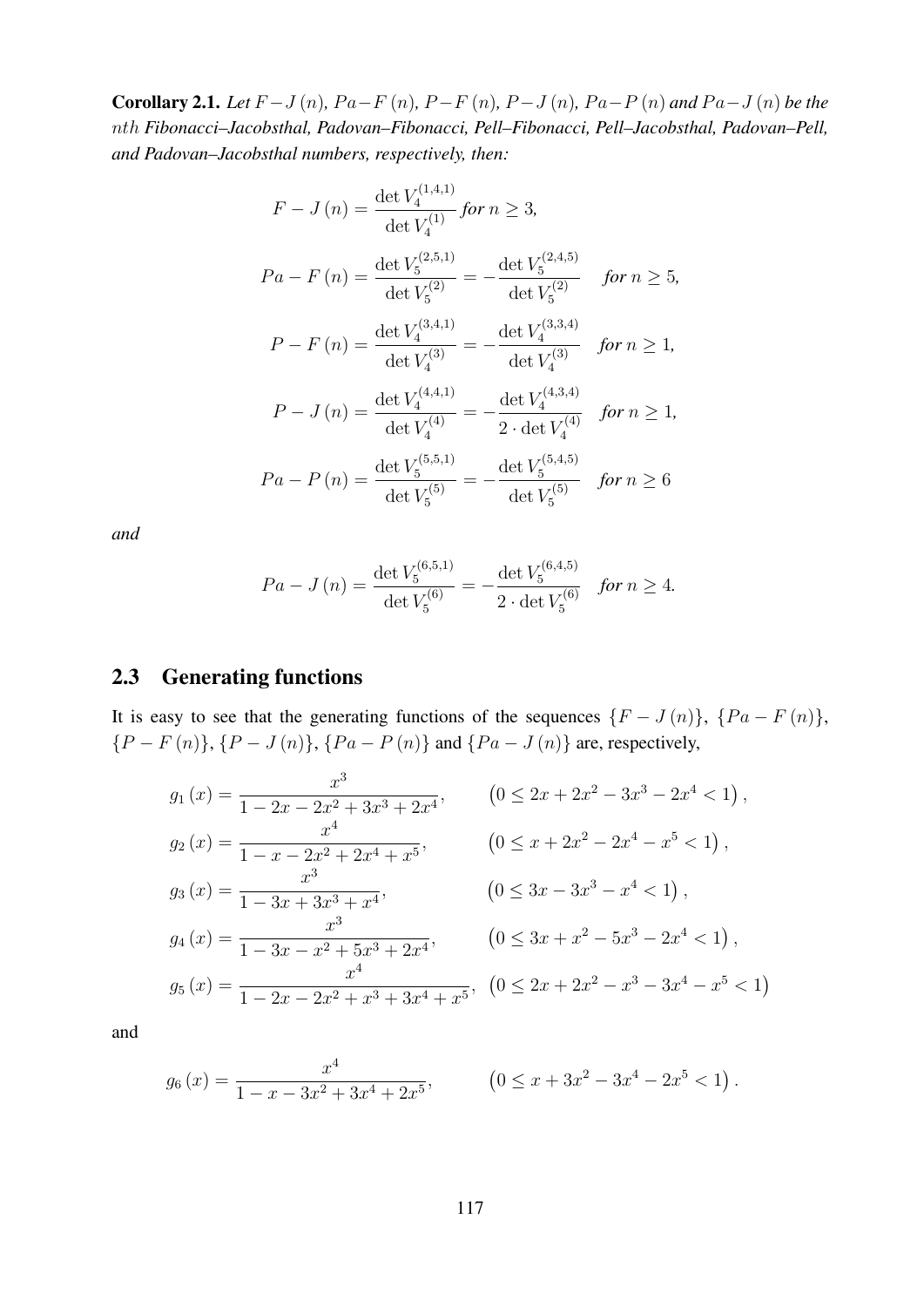**Corollary 2.1.** *Let*  $F - J(n)$ *,*  $Pa - F(n)$ *,*  $P - F(n)$ *,*  $P - J(n)$ *,*  $Pa - P(n)$  *and*  $Pa - J(n)$  *be the* nth *Fibonacci–Jacobsthal, Padovan–Fibonacci, Pell–Fibonacci, Pell–Jacobsthal, Padovan–Pell, and Padovan–Jacobsthal numbers, respectively, then:*

$$
F - J(n) = \frac{\det V_4^{(1,4,1)}}{\det V_4^{(1)}} \text{ for } n \ge 3,
$$
  
\n
$$
Pa - F(n) = \frac{\det V_5^{(2,5,1)}}{\det V_5^{(2)}} = -\frac{\det V_5^{(2,4,5)}}{\det V_5^{(2)}} \text{ for } n \ge 5,
$$
  
\n
$$
P - F(n) = \frac{\det V_4^{(3,4,1)}}{\det V_4^{(3)}} = -\frac{\det V_4^{(3,3,4)}}{\det V_4^{(3)}} \text{ for } n \ge 1,
$$
  
\n
$$
P - J(n) = \frac{\det V_4^{(4,4,1)}}{\det V_4^{(4)}} = -\frac{\det V_4^{(4,3,4)}}{2 \cdot \det V_4^{(4)}} \text{ for } n \ge 1,
$$
  
\n
$$
Pa - P(n) = \frac{\det V_5^{(5,5,1)}}{\det V_5^{(5)}} = -\frac{\det V_5^{(5,4,5)}}{\det V_5^{(5)}} \text{ for } n \ge 6
$$

*and*

$$
Pa - J(n) = \frac{\det V_5^{(6,5,1)}}{\det V_5^{(6)}} = -\frac{\det V_5^{(6,4,5)}}{2 \cdot \det V_5^{(6)}} \quad \text{for } n \ge 4.
$$

## 2.3 Generating functions

It is easy to see that the generating functions of the sequences  $\{F - J(n)\}, \{Pa - F(n)\},\$  ${P - F(n)}$ ,  ${P - J(n)}$ ,  ${Pa - P(n)}$  and  ${Pa - J(n)}$  are, respectively,

$$
g_1(x) = \frac{x^3}{1 - 2x - 2x^2 + 3x^3 + 2x^4}, \qquad (0 \le 2x + 2x^2 - 3x^3 - 2x^4 < 1),
$$
\n
$$
g_2(x) = \frac{x^4}{1 - x - 2x^2 + 2x^4 + x^5}, \qquad (0 \le x + 2x^2 - 2x^4 - x^5 < 1),
$$
\n
$$
g_3(x) = \frac{x^3}{1 - 3x + 3x^3 + x^4}, \qquad (0 \le 3x - 3x^3 - x^4 < 1),
$$
\n
$$
g_4(x) = \frac{x^3}{1 - 3x - x^2 + 5x^3 + 2x^4}, \qquad (0 \le 3x + x^2 - 5x^3 - 2x^4 < 1),
$$
\n
$$
g_5(x) = \frac{x^4}{1 - 2x - 2x^2 + x^3 + 3x^4 + x^5}, \quad (0 \le 2x + 2x^2 - x^3 - 3x^4 - x^5 < 1)
$$

and

$$
g_6(x) = \frac{x^4}{1 - x - 3x^2 + 3x^4 + 2x^5}, \qquad (0 \le x + 3x^2 - 3x^4 - 2x^5 < 1).
$$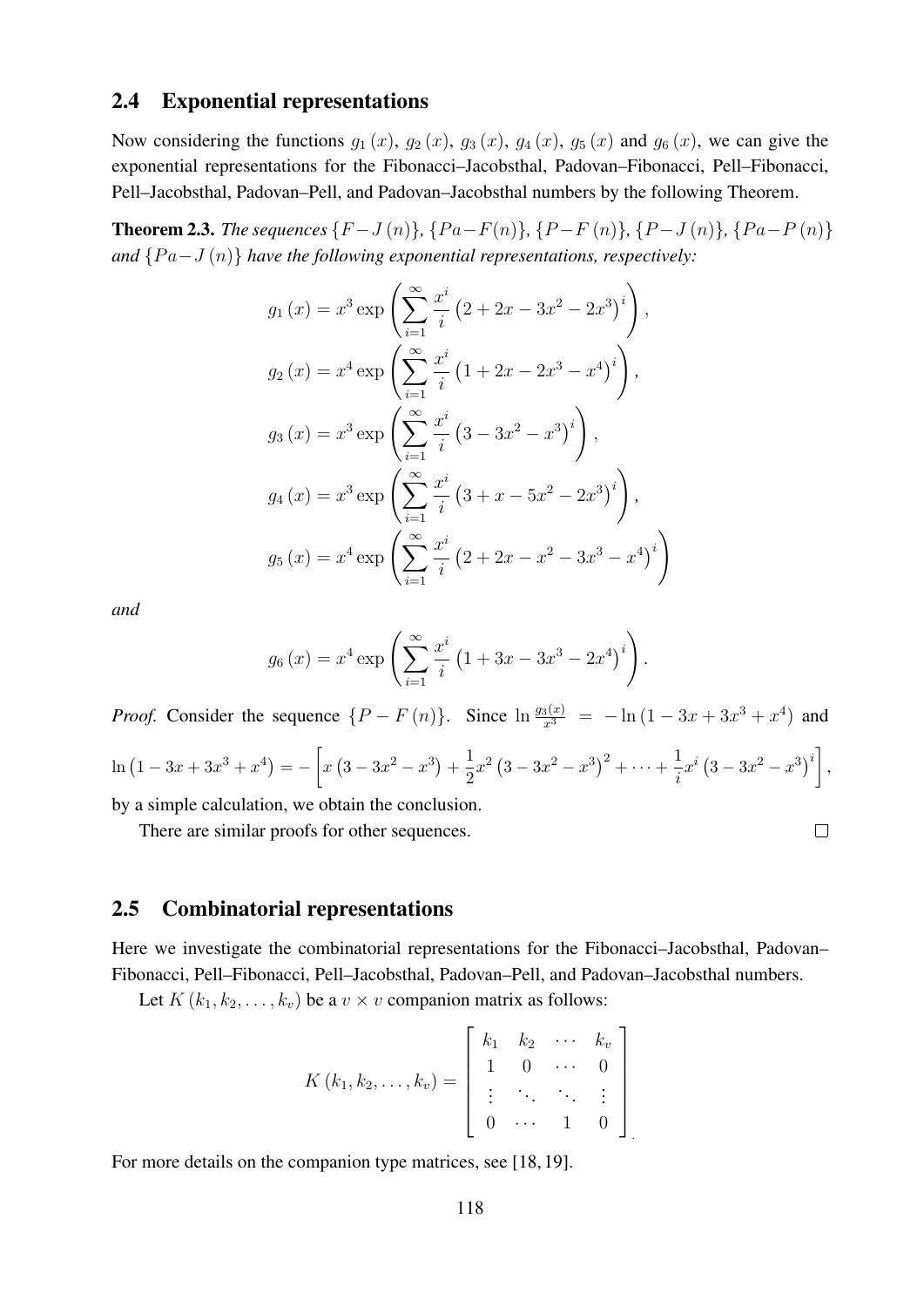#### 2.4 Exponential representations

Now considering the functions  $g_1(x)$ ,  $g_2(x)$ ,  $g_3(x)$ ,  $g_4(x)$ ,  $g_5(x)$  and  $g_6(x)$ , we can give the exponential representations for the Fibonacci–Jacobsthal, Padovan–Fibonacci, Pell–Fibonacci, Pell–Jacobsthal, Padovan–Pell, and Padovan–Jacobsthal numbers by the following Theorem.

**Theorem 2.3.** *The sequences*  $\{F-J(n)\}, \{Pa-F(n)\}, \{P-F(n)\}, \{P-J(n)\}, \{Pa-P(n)\}$ *and*  $\{Pa-J(n)\}\$  *have the following exponential representations, respectively:* 

$$
g_1(x) = x^3 \exp\left(\sum_{i=1}^{\infty} \frac{x^i}{i} (2 + 2x - 3x^2 - 2x^3)^i\right),
$$
  
\n
$$
g_2(x) = x^4 \exp\left(\sum_{i=1}^{\infty} \frac{x^i}{i} (1 + 2x - 2x^3 - x^4)^i\right),
$$
  
\n
$$
g_3(x) = x^3 \exp\left(\sum_{i=1}^{\infty} \frac{x^i}{i} (3 - 3x^2 - x^3)^i\right),
$$
  
\n
$$
g_4(x) = x^3 \exp\left(\sum_{i=1}^{\infty} \frac{x^i}{i} (3 + x - 5x^2 - 2x^3)^i\right),
$$
  
\n
$$
g_5(x) = x^4 \exp\left(\sum_{i=1}^{\infty} \frac{x^i}{i} (2 + 2x - x^2 - 3x^3 - x^4)^i\right)
$$

*and*

$$
g_6(x) = x^4 \exp \left( \sum_{i=1}^{\infty} \frac{x^i}{i} \left( 1 + 3x - 3x^3 - 2x^4 \right)^i \right).
$$

*Proof.* Consider the sequence  $\{P - F(n)\}\$ . Since  $\ln \frac{g_3(x)}{x^3} = -\ln(1 - 3x + 3x^3 + x^4)$  and  $\ln\left(1-3x+3x^3+x^4\right)=-\left[x\left(3-3x^2-x^3\right)+\frac{1}{2}\right]$  $\frac{1}{2}x^2(3-3x^2-x^3)^2+\cdots+\frac{1}{i}$  $\frac{1}{i}x^{i}(3-3x^{2}-x^{3})^{i}$ ,

by a simple calculation, we obtain the conclusion.

There are similar proofs for other sequences.

$$
\Box
$$

#### 2.5 Combinatorial representations

Here we investigate the combinatorial representations for the Fibonacci–Jacobsthal, Padovan– Fibonacci, Pell–Fibonacci, Pell–Jacobsthal, Padovan–Pell, and Padovan–Jacobsthal numbers.

Let  $K$  ( $k_1, k_2, \ldots, k_v$ ) be a  $v \times v$  companion matrix as follows:

$$
K(k_1, k_2, \ldots, k_v) = \left[\begin{array}{cccc} k_1 & k_2 & \cdots & k_v \\ 1 & 0 & \cdots & 0 \\ \vdots & \ddots & \ddots & \vdots \\ 0 & \cdots & 1 & 0 \end{array}\right]
$$

For more details on the companion type matrices, see [18, 19].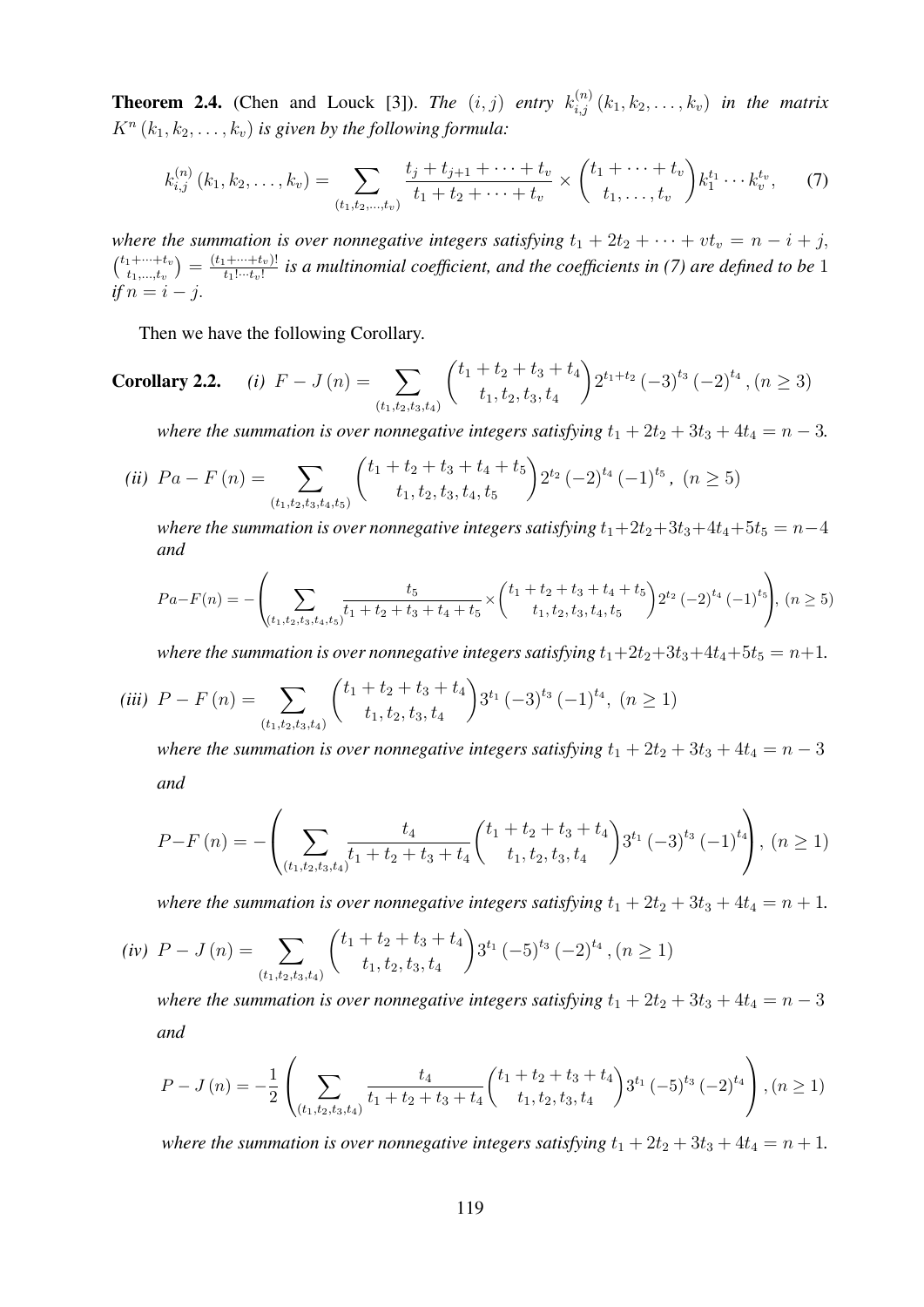**Theorem 2.4.** (Chen and Louck [3]). *The*  $(i, j)$  *entry*  $k_{i,j}^{(n)}(k_1, k_2, \ldots, k_v)$  *in the matrix*  $K^{n}(k_1, k_2, \ldots, k_v)$  *is given by the following formula:* 

$$
k_{i,j}^{(n)}(k_1, k_2, \ldots, k_v) = \sum_{(t_1, t_2, \ldots, t_v)} \frac{t_j + t_{j+1} + \cdots + t_v}{t_1 + t_2 + \cdots + t_v} \times \binom{t_1 + \cdots + t_v}{t_1, \ldots, t_v} k_1^{t_1} \cdots k_v^{t_v}, \qquad (7)
$$

*where the summation is over nonnegative integers satisfying*  $t_1 + 2t_2 + \cdots + vt_v = n - i + j$ ,  $\binom{t_1+\cdots+t_v}{t}$  $\left( \begin{smallmatrix} t_1 + \cdots + t_v \ t_1, ..., t_v \end{smallmatrix} \right) = \frac{(t_1 + \cdots + t_v)!}{t_1! \cdots t_v!}$  $\frac{1+\cdots+t_v)!}{t_1!\cdots t_v!}$  is a multinomial coefficient, and the coefficients in (7) are defined to be 1  $if n = i - j.$ 

Then we have the following Corollary.

**Corollary 2.2.** (i) 
$$
F - J(n) = \sum_{(t_1, t_2, t_3, t_4)} \binom{t_1 + t_2 + t_3 + t_4}{t_1, t_2, t_3, t_4} 2^{t_1 + t_2} (-3)^{t_3} (-2)^{t_4}, (n \ge 3)
$$

*where the summation is over nonnegative integers satisfying*  $t_1 + 2t_2 + 3t_3 + 4t_4 = n - 3$ .

$$
(ii) \ \ Pa - F(n) = \sum_{(t_1, t_2, t_3, t_4, t_5)} \binom{t_1 + t_2 + t_3 + t_4 + t_5}{t_1, t_2, t_3, t_4, t_5} 2^{t_2} (-2)^{t_4} (-1)^{t_5}, \ (n \ge 5)
$$

*where the summation is over nonnegative integers satisfying*  $t_1+2t_2+3t_3+4t_4+5t_5 = n-4$ *and*

$$
Pa - F(n) = -\left(\sum_{(t_1, t_2, t_3, t_4, t_5)} \frac{t_5}{t_1 + t_2 + t_3 + t_4 + t_5} \times \binom{t_1 + t_2 + t_3 + t_4 + t_5}{t_1, t_2, t_3, t_4, t_5} 2^{t_2} (-2)^{t_4} (-1)^{t_5} \right), (n \ge 5)
$$

*where the summation is over nonnegative integers satisfying*  $t_1+2t_2+3t_3+4t_4+5t_5 = n+1$ .

$$
(iii) \ \ P - F(n) = \sum_{(t_1, t_2, t_3, t_4)} {t_1 + t_2 + t_3 + t_4 \choose t_1, t_2, t_3, t_4} 3^{t_1} (-3)^{t_3} (-1)^{t_4}, \ (n \ge 1)
$$

*where the summation is over nonnegative integers satisfying*  $t_1 + 2t_2 + 3t_3 + 4t_4 = n - 3$ *and*

$$
P-F\left(n\right) = -\left(\sum_{\left(t_1, t_2, t_3, t_4\right)} \frac{t_4}{t_1+t_2+t_3+t_4} \binom{t_1+t_2+t_3+t_4}{t_1, t_2, t_3, t_4} 3^{t_1} \left(-3\right)^{t_3} \left(-1\right)^{t_4}\right), \ (n \ge 1)
$$

*where the summation is over nonnegative integers satisfying*  $t_1 + 2t_2 + 3t_3 + 4t_4 = n + 1$ .

$$
(iv) \ \ P - J(n) = \sum_{(t_1, t_2, t_3, t_4)} \binom{t_1 + t_2 + t_3 + t_4}{t_1, t_2, t_3, t_4} 3^{t_1} (-5)^{t_3} (-2)^{t_4}, (n \ge 1)
$$

*where the summation is over nonnegative integers satisfying*  $t_1 + 2t_2 + 3t_3 + 4t_4 = n - 3$ *and*

$$
P-J(n) = -\frac{1}{2} \left( \sum_{(t_1,t_2,t_3,t_4)} \frac{t_4}{t_1+t_2+t_3+t_4} {t_1+t_2+t_3+t_4 \choose t_1,t_2,t_3,t_4} 3^{t_1} (-5)^{t_3} (-2)^{t_4} \right), (n \ge 1)
$$

*where the summation is over nonnegative integers satisfying*  $t_1 + 2t_2 + 3t_3 + 4t_4 = n + 1$ .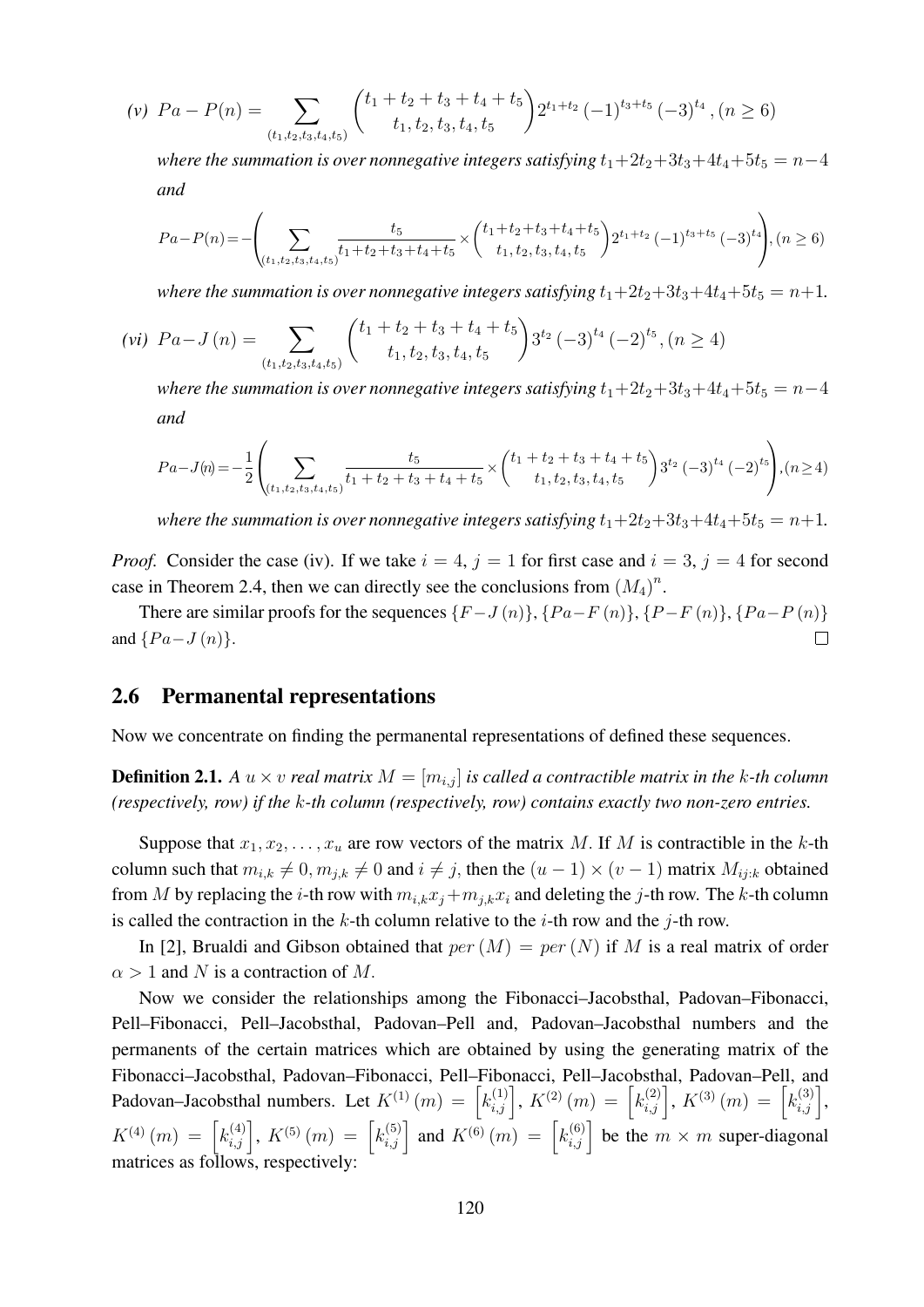$$
(v) \ \ Pa - P(n) = \sum_{(t_1, t_2, t_3, t_4, t_5)} \binom{t_1 + t_2 + t_3 + t_4 + t_5}{t_1, t_2, t_3, t_4, t_5} 2^{t_1 + t_2} (-1)^{t_3 + t_5} (-3)^{t_4}, (n \ge 6)
$$

*where the summation is over nonnegative integers satisfying*  $t_1+2t_2+3t_3+4t_4+5t_5 = n-4$ *and*

$$
Pa - P(n) = -\left(\sum_{(t_1, t_2, t_3, t_4, t_5)} \frac{t_5}{t_1 + t_2 + t_3 + t_4 + t_5} \times \binom{t_1 + t_2 + t_3 + t_4 + t_5}{t_1, t_2, t_3, t_4, t_5} 2^{t_1 + t_2} (-1)^{t_3 + t_5} (-3)^{t_4}\right), (n \ge 6)
$$

*where the summation is over nonnegative integers satisfying*  $t_1+2t_2+3t_3+4t_4+5t_5 = n+1$ .

$$
(vi) \ \ Pa - J(n) = \sum_{(t_1, t_2, t_3, t_4, t_5)} \binom{t_1 + t_2 + t_3 + t_4 + t_5}{t_1, t_2, t_3, t_4, t_5} 3^{t_2} (-3)^{t_4} (-2)^{t_5}, (n \ge 4)
$$

*where the summation is over nonnegative integers satisfying*  $t_1+2t_2+3t_3+4t_4+5t_5 = n-4$ *and*

$$
Pa-J(n) = -\frac{1}{2} \left( \sum_{(t_1, t_2, t_3, t_4, t_5)} \frac{t_5}{t_1 + t_2 + t_3 + t_4 + t_5} \times \binom{t_1 + t_2 + t_3 + t_4 + t_5}{t_1, t_2, t_3, t_4, t_5} 3^{t_2} \left( -3 \right)^{t_4} \left( -2 \right)^{t_5} \right), (n \ge 4)
$$

*where the summation is over nonnegative integers satisfying*  $t_1+2t_2+3t_3+4t_4+5t_5 = n+1$ .

*Proof.* Consider the case (iv). If we take  $i = 4$ ,  $j = 1$  for first case and  $i = 3$ ,  $j = 4$  for second case in Theorem 2.4, then we can directly see the conclusions from  $(M_4)^n$ .

There are similar proofs for the sequences  $\{F-J(n)\}, \{Pa-F(n)\}, \{Pa-F(n)\}, \{Pa-P(n)\}\$ and  $\{Pa-J(n)\}.$  $\Box$ 

#### 2.6 Permanental representations

Now we concentrate on finding the permanental representations of defined these sequences.

**Definition 2.1.** A  $u \times v$  *real matrix*  $M = [m_{i,j}]$  *is called a contractible matrix in the k-th column (respectively, row) if the* k*-th column (respectively, row) contains exactly two non-zero entries.*

Suppose that  $x_1, x_2, \ldots, x_u$  are row vectors of the matrix M. If M is contractible in the k-th column such that  $m_{i,k} \neq 0, m_{j,k} \neq 0$  and  $i \neq j$ , then the  $(u - 1) \times (v - 1)$  matrix  $M_{ij;k}$  obtained from M by replacing the *i*-th row with  $m_{i,k}x_j+m_{j,k}x_i$  and deleting the *j*-th row. The k-th column is called the contraction in the k-th column relative to the *i*-th row and the *j*-th row.

In [2], Brualdi and Gibson obtained that  $per(M) = per(N)$  if M is a real matrix of order  $\alpha > 1$  and N is a contraction of M.

Now we consider the relationships among the Fibonacci–Jacobsthal, Padovan–Fibonacci, Pell–Fibonacci, Pell–Jacobsthal, Padovan–Pell and, Padovan–Jacobsthal numbers and the permanents of the certain matrices which are obtained by using the generating matrix of the Fibonacci–Jacobsthal, Padovan–Fibonacci, Pell–Fibonacci, Pell–Jacobsthal, Padovan–Pell, and Padovan–Jacobsthal numbers. Let  $K^{(1)}(m) = \left[k_{i,j}^{(1)}\right], K^{(2)}(m) = \left[k_{i,j}^{(2)}\right], K^{(3)}(m) = \left[k_{i,j}^{(3)}\right],$  $K^{(4)}(m) = \left[k_{i,j}^{(4)}\right], K^{(5)}(m) = \left[k_{i,j}^{(5)}\right]$  and  $K^{(6)}(m) = \left[k_{i,j}^{(6)}\right]$  be the  $m \times m$  super-diagonal matrices as follows, respectively: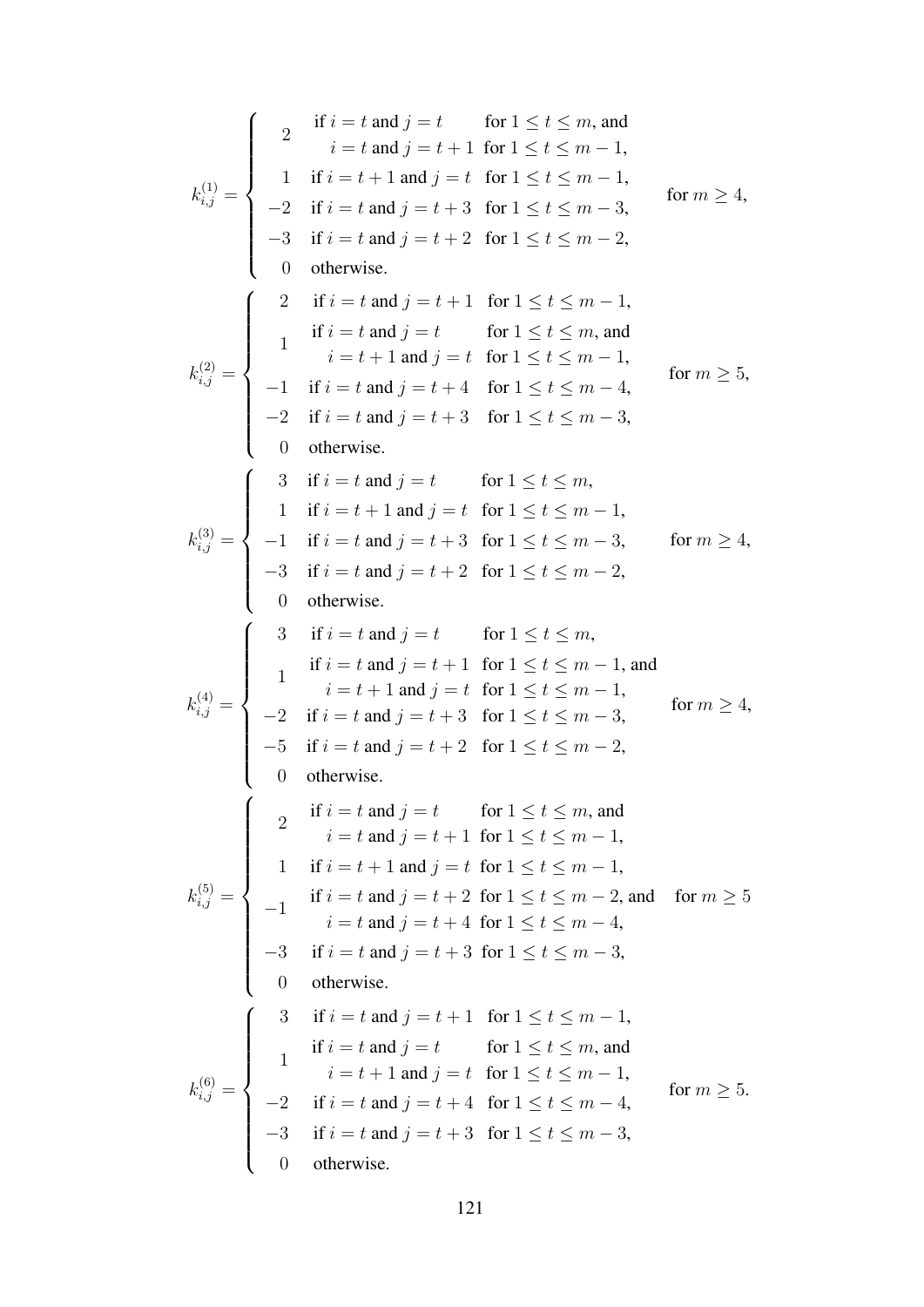$$
k_{i,j}^{(1)} = \begin{cases} 2 & \text{if } i = t \text{ and } j = t \\ 2 & \text{if } i = t + 1 \text{ for } 1 \leq t \leq m, \text{ and} \\ i = t \text{ and } j = t + 1 \text{ for } 1 \leq t \leq m - 1, \\ -2 & \text{if } i = t \text{ and } j = t + 3 \text{ for } 1 \leq t \leq m - 3, \\ -3 & \text{if } i = t \text{ and } j = t + 2 \text{ for } 1 \leq t \leq m - 2, \\ 0 & \text{otherwise.} \end{cases}
$$
\n
$$
k_{i,j}^{(2)} = \begin{cases} 2 & \text{if } i = t \text{ and } j = t + 1 \text{ for } 1 \leq t \leq m - 1, \\ 1 & \text{if } i = t \text{ and } j = t + 1 \text{ for } 1 \leq t \leq m, \text{ and} \\ 1 & \text{if } i = t \text{ and } j = t + 4 \text{ for } 1 \leq t \leq m - 1, \\ -1 & \text{if } i = t \text{ and } j = t + 4 \text{ for } 1 \leq t \leq m - 4, \\ -2 & \text{if } i = t \text{ and } j = t + 4 \text{ for } 1 \leq t \leq m - 3, \\ 0 & \text{otherwise.} \end{cases}
$$
\n
$$
k_{i,j}^{(3)} = \begin{cases} 3 & \text{if } i = t \text{ and } j = t + 1 \text{ for } 1 \leq t \leq m, \\ -1 & \text{if } i = t \text{ and } j = t + 3 \text{ for } 1 \leq t \leq m, \\ 1 & \text{if } i = t + 1 \text{ and } j = t \text{ for } 1 \leq t \leq m - 3, \\ -3 & \text{if } i = t \text{ and } j = t + 2 \text{ for } 1 \leq t \leq m, \\ -1 & \text{if } i = t \text{ and } j = t + 1 \text{ for } 1 \leq t \leq m, \\ 1 & \text{if } i = t \text{ and } j = t + 1 \text{ for } 1 \leq t \leq m, \\ -3 & \text{if } i = t \text{ and } j = t + 1 \text{ for } 1 \leq t \leq m, \\ 1 & \text{
$$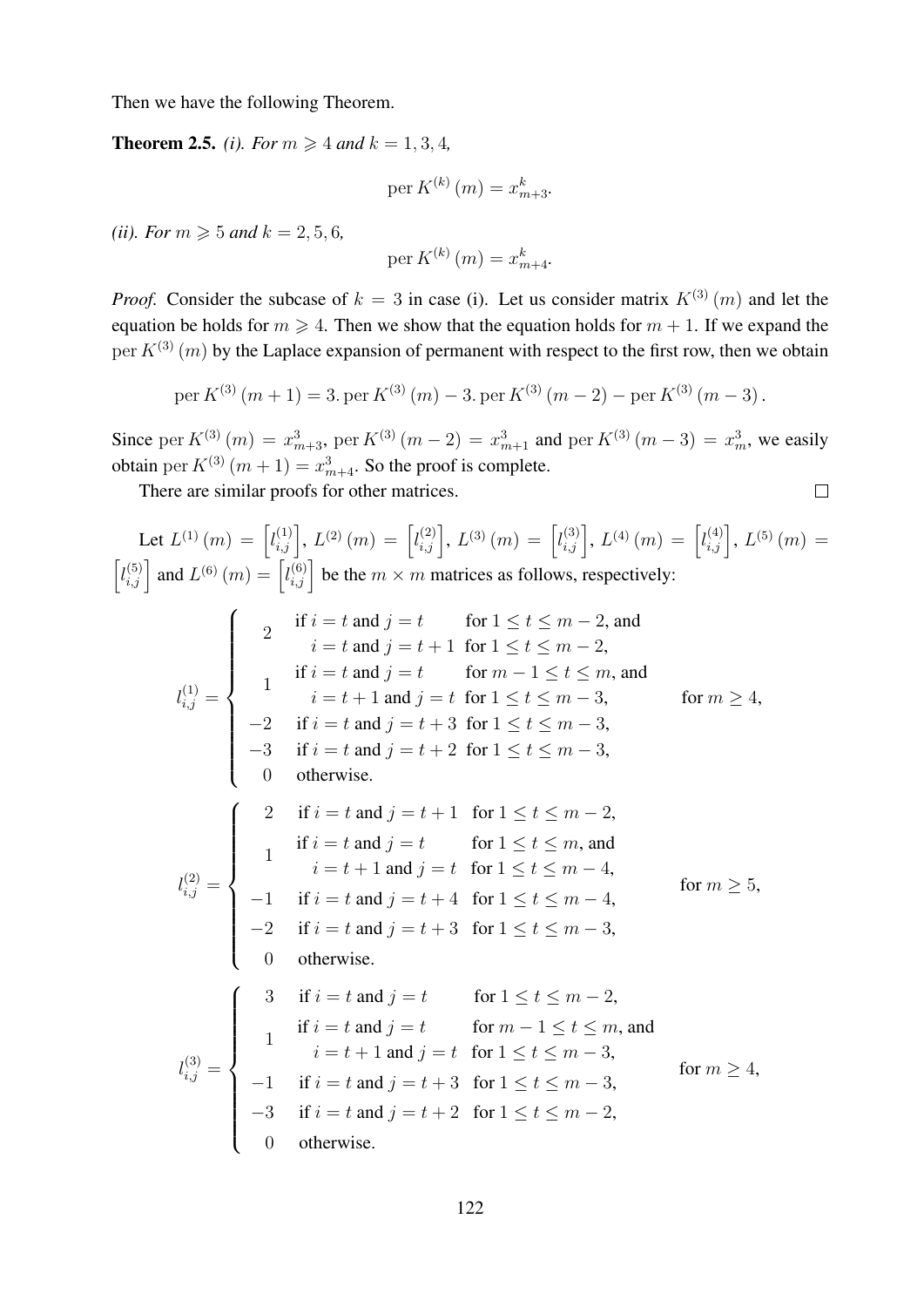Then we have the following Theorem.

**Theorem 2.5.** *(i). For*  $m \ge 4$  *and*  $k = 1, 3, 4$ *,* 

$$
per K^{(k)}(m) = x_{m+3}^k.
$$

*(ii). For*  $m \ge 5$  *and*  $k = 2, 5, 6$ *,* 

$$
\operatorname{per} K^{(k)}\left(m\right) = x_{m+4}^{k}.
$$

*Proof.* Consider the subcase of  $k = 3$  in case (i). Let us consider matrix  $K^{(3)}(m)$  and let the equation be holds for  $m \ge 4$ . Then we show that the equation holds for  $m + 1$ . If we expand the per  $K^{(3)}(m)$  by the Laplace expansion of permanent with respect to the first row, then we obtain

per 
$$
K^{(3)}(m + 1) = 3
$$
. per  $K^{(3)}(m) - 3$ . per  $K^{(3)}(m - 2) -$  per  $K^{(3)}(m - 3)$ .

Since per  $K^{(3)}(m) = x_{m+3}^3$ , per  $K^{(3)}(m-2) = x_{m+1}^3$  and per  $K^{(3)}(m-3) = x_m^3$ , we easily obtain per  $K^{(3)}(m+1) = x_{m+4}^3$ . So the proof is complete.

 $\Box$ 

There are similar proofs for other matrices.

Let 
$$
L^{(1)}(m) = [l_{i,j}^{(1)}], L^{(2)}(m) = [l_{i,j}^{(2)}], L^{(3)}(m) = [l_{i,j}^{(3)}], L^{(4)}(m) = [l_{i,j}^{(4)}], L^{(5)}(m) =
$$
  
\n
$$
[l_{i,j}^{(5)}]
$$
 and  $L^{(6)}(m) = [l_{i,j}^{(6)}]$  be the  $m \times m$  matrices as follows, respectively:  
\n
$$
\vdots
$$
 if  $i = t$  and  $j = t$  for  $1 \le t \le m - 2$ , and  
\n $i = t$  and  $j = t$  for  $1 \le t \le m - 2$ , and  
\n $i = t$  and  $j = t$  for  $m - 1 \le t \le m$ , and  
\n $i = t + 1$  and  $j = t$  for  $1 \le t \le m - 3$ , for  $m \ge 4$ ,  
\n $-2$  if  $i = t$  and  $j = t + 3$  for  $1 \le t \le m - 3$ ,  
\n $-3$  if  $i = t$  and  $j = t + 1$  for  $1 \le t \le m - 3$ ,  
\n $0$  otherwise.  
\n
$$
\begin{cases}\n2 & \text{if } i = t \text{ and } j = t + 1 \text{ for } 1 \le t \le m - 2, \\
1 & \text{if } i = t \text{ and } j = t + 1 \text{ for } 1 \le t \le m - 4, \\
1 & \text{if } i = t \text{ and } j = t \text{ for } 1 \le t \le m - 4, \\
-1 & \text{if } i = t \text{ and } j = t + 4 \text{ for } 1 \le t \le m - 4, \\
-2 & \text{if } i = t \text{ and } j = t + 3 \text{ for } 1 \le t \le m - 3, \\
0 & \text{otherwise.} \\
1 & \text{if } i = t \text{ and } j = t \text{ for } 1 \le t \le m - 3, \\
1 & \text{if } i = t \text{ and } j = t \text{ for } 1 \le t \le m - 3, \\
1 & \text{if } i = t \text{ and } j = t \text{ for } 1 \le t \le
$$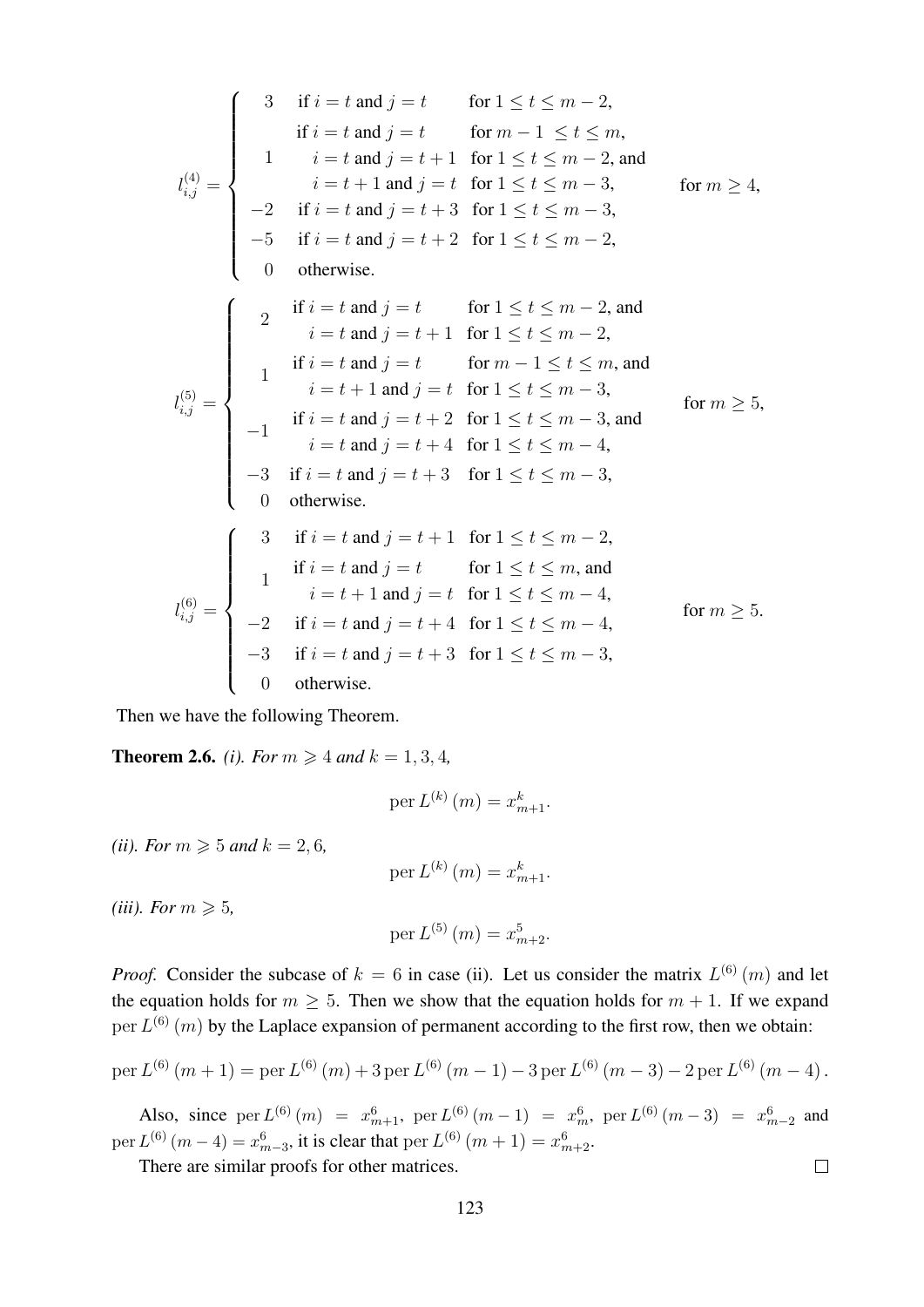$$
l_{i,j}^{(4)} = \begin{cases}\n3 & \text{if } i = t \text{ and } j = t \quad \text{for } 1 \le t \le m - 2, \\
1 & i = t \text{ and } j = t + 1 \text{ for } 1 \le t \le m, \\
1 & i = t \text{ and } j = t + 1 \text{ for } 1 \le t \le m - 2, \text{ and } \\
i = t + 1 \text{ and } j = t \text{ for } 1 \le t \le m - 3, \\
-2 & \text{if } i = t \text{ and } j = t + 3 \text{ for } 1 \le t \le m - 3, \\
-5 & \text{if } i = t \text{ and } j = t + 2 \text{ for } 1 \le t \le m - 2, \\
0 & \text{otherwise.} \\
1 & i = t \text{ and } j = t + 1 \text{ for } 1 \le t \le m - 2, \text{ and } \\
i = t \text{ and } j = t + 1 \text{ for } 1 \le t \le m - 2, \text{ and } \\
i = t \text{ and } j = t + 1 \text{ for } 1 \le t \le m - 3, \\
1 & i = t \text{ and } j = t \text{ for } m - 1 \le t \le m, \text{ and } \\
i = t + 1 \text{ and } j = t \text{ for } 1 \le t \le m - 3, \\
-1 & \text{if } i = t \text{ and } j = t + 2 \text{ for } 1 \le t \le m - 3, \text{ and } \\
i = t \text{ and } j = t + 4 \text{ for } 1 \le t \le m - 4, \\
-3 & \text{if } i = t \text{ and } j = t + 3 \text{ for } 1 \le t \le m - 3, \\
0 & \text{otherwise.} \\
1 & i = t \text{ and } j = t + 1 \text{ for } 1 \le t \le m - 2, \\
1 & i = t \text{ and } j = t + 1 \text{ for } 1 \le t \le m - 4, \\
-2 & \text{if } i = t \text{ and } j = t + 4 \text{ for } 1 \le t \le m - 4, \\
-3 & \text{if } i = t \text{ and } j = t + 4 \text{ for } 1 \le t \le m - 4, \\
-3 & \text{if } i = t \text{ and } j = t + 4 \text{ for } 1 \le t \le m - 3, \\
0 & \text{otherwise.} \\
2 & \text{otherwise.} \\
3 & \text{otherwise.
$$

Then we have the following Theorem.

**Theorem 2.6.** *(i). For*  $m \ge 4$  *and*  $k = 1, 3, 4$ *,* 

$$
\operatorname{per} L^{(k)}\left(m\right) = x_{m+1}^k.
$$

*(ii). For*  $m \ge 5$  *and*  $k = 2, 6$ *,* 

per  $L^{(k)}(m) = x_{m+1}^k$ .

*(iii). For*  $m \geqslant 5$ ,

$$
per L^{(5)}(m) = x_{m+2}^5.
$$

*Proof.* Consider the subcase of  $k = 6$  in case (ii). Let us consider the matrix  $L^{(6)}(m)$  and let the equation holds for  $m \geq 5$ . Then we show that the equation holds for  $m + 1$ . If we expand per  $L^{(6)}(m)$  by the Laplace expansion of permanent according to the first row, then we obtain:

per 
$$
L^{(6)}(m+1) =
$$
per  $L^{(6)}(m) + 3$ per  $L^{(6)}(m-1) - 3$ per  $L^{(6)}(m-3) - 2$ per  $L^{(6)}(m-4)$ .

Also, since  $per L^{(6)}(m) = x_{m+1}^6$ ,  $per L^{(6)}(m-1) = x_m^6$ ,  $per L^{(6)}(m-3) = x_{m-2}^6$  and per  $L^{(6)}(m-4) = x_{m-3}^6$ , it is clear that per  $L^{(6)}(m+1) = x_{m+2}^6$ .

There are similar proofs for other matrices.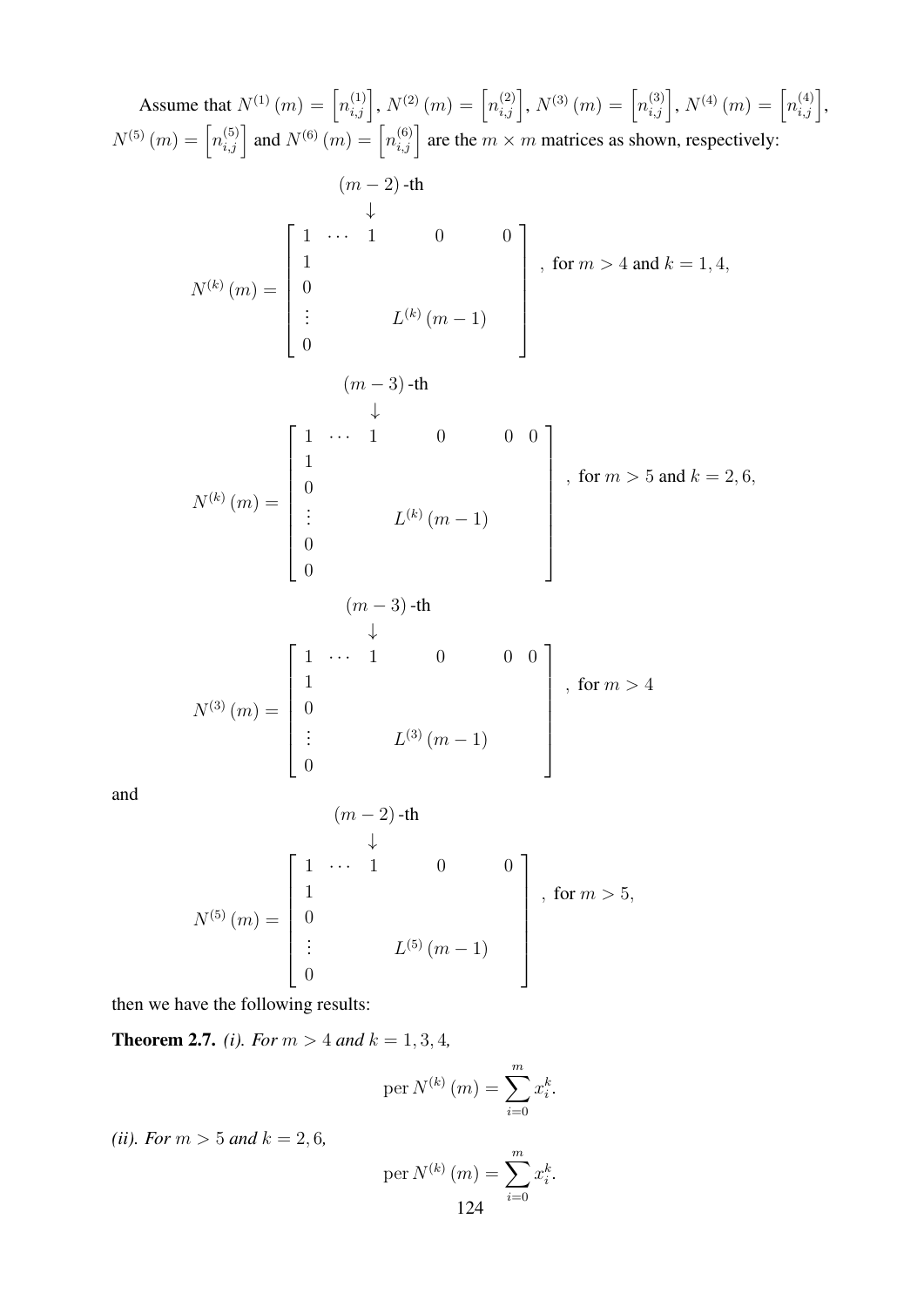Assume that  $N^{(1)}(m) = \left[n_{i,j}^{(1)}\right], N^{(2)}(m) = \left[n_{i,j}^{(2)}\right], N^{(3)}(m) = \left[n_{i,j}^{(3)}\right], N^{(4)}(m) = \left[n_{i,j}^{(4)}\right],$  $N^{(5)}(m) = \left[n_{i,j}^{(5)}\right]$  and  $N^{(6)}(m) = \left[n_{i,j}^{(6)}\right]$  are the  $m \times m$  matrices as shown, respectively:  $(m-2)$ -th ↓  $N^{(k)}(m) =$  $\sqrt{ }$  $\begin{array}{c} \begin{array}{c} \begin{array}{c} \end{array} \\ \begin{array}{c} \end{array} \end{array} \end{array}$  $1 \cdots 1 \qquad 0 \qquad 0$ 1  $\overline{0}$ :  $L^{(k)}(m-1)$  $\overline{0}$ 1  $\begin{array}{c} \begin{array}{c} \begin{array}{c} \begin{array}{c} \end{array} \\ \begin{array}{c} \end{array} \end{array} \end{array} \end{array}$ , for  $m > 4$  and  $k = 1, 4$ ,  $(m-3)$ -th ↓  $N^{(k)}(m) =$  $\sqrt{ }$   $1 \cdots 1 \qquad 0 \qquad 0 \qquad 0$ 1 0 :  $L^{(k)}(m-1)$ 0  $\theta$ 1 , for  $m > 5$  and  $k = 2, 6$ ,  $(m-3)$ -th ↓  $N^{(3)}\left( m\right) =% {\displaystyle\int} \frac{dk}{m}dk$  $\sqrt{ }$   $1 \cdots 1 \qquad 0 \qquad 0 \qquad 0$ 1  $\overline{0}$  $L^{(3)}(m-1)$  $\overline{0}$ 1  $\begin{array}{c} \begin{array}{c} \begin{array}{c} \end{array} \\ \begin{array}{c} \end{array} \end{array} \end{array}$ , for  $m > 4$ 

and

$$
(m-2) - \text{th}
$$
  
\n
$$
N^{(5)}(m) = \begin{bmatrix} 1 & \cdots & 1 & 0 & 0 \\ 1 & & & & \\ 0 & & & & \\ \vdots & & & L^{(5)}(m-1) & \\ 0 & & & & \end{bmatrix}, \text{ for } m > 5,
$$

then we have the following results:

**Theorem 2.7.** *(i). For*  $m > 4$  *and*  $k = 1, 3, 4$ *,* 

$$
\text{per } N^{(k)}\left(m\right) = \sum_{i=0}^{m} x_i^k.
$$

*(ii). For*  $m > 5$  *and*  $k = 2, 6$ *,* 

per 
$$
N^{(k)}(m) = \sum_{i=0}^{m} x_i^k
$$
.  
124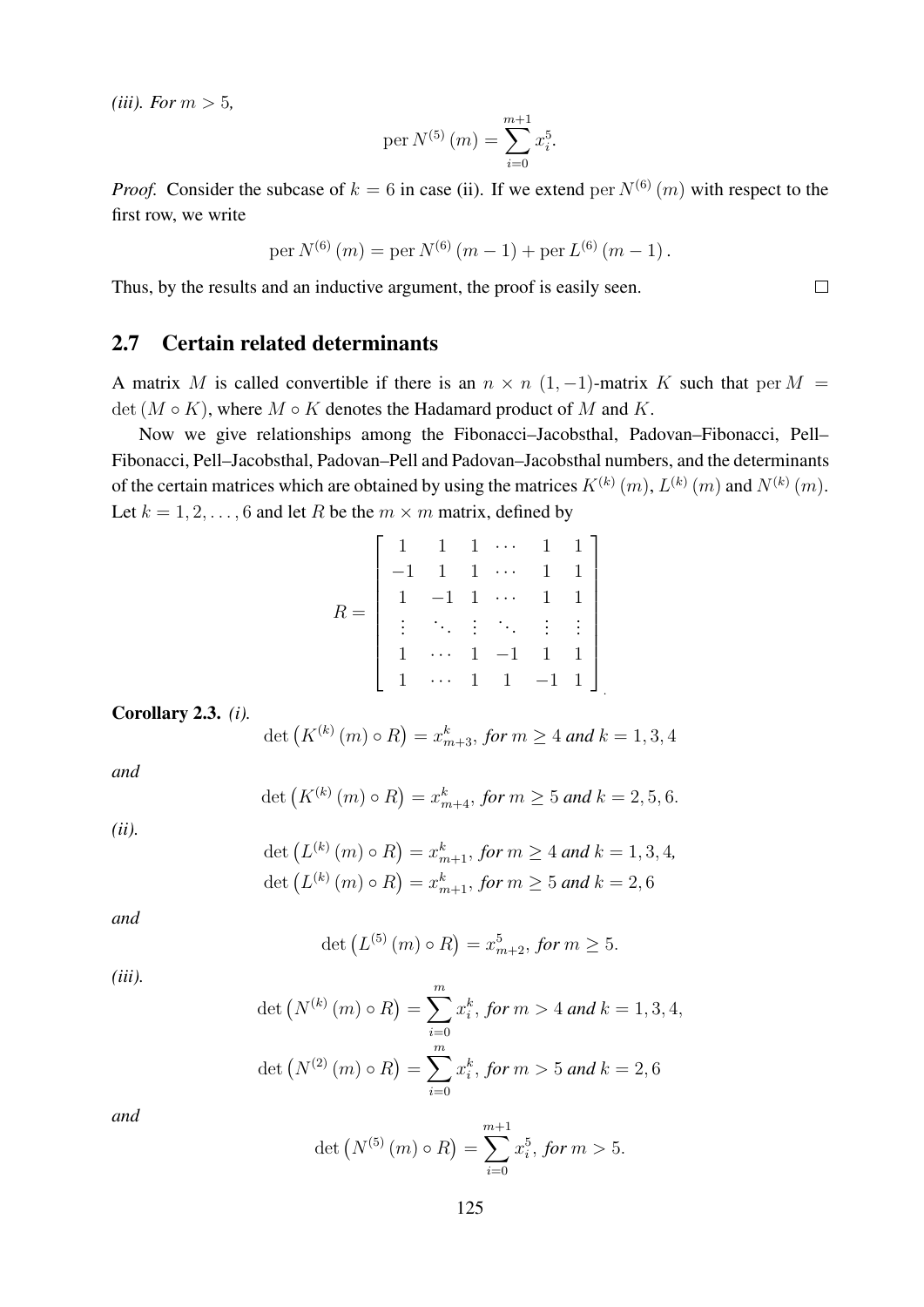*(iii). For*  $m > 5$ *,* 

$$
per N^{(5)}(m) = \sum_{i=0}^{m+1} x_i^5.
$$

*Proof.* Consider the subcase of  $k = 6$  in case (ii). If we extend per  $N^{(6)}(m)$  with respect to the first row, we write

per 
$$
N^{(6)}(m) = \text{per } N^{(6)}(m-1) + \text{per } L^{(6)}(m-1)
$$
.

Thus, by the results and an inductive argument, the proof is easily seen.

#### 2.7 Certain related determinants

A matrix M is called convertible if there is an  $n \times n$  (1, -1)-matrix K such that per M = det  $(M \circ K)$ , where  $M \circ K$  denotes the Hadamard product of M and K.

Now we give relationships among the Fibonacci–Jacobsthal, Padovan–Fibonacci, Pell– Fibonacci, Pell–Jacobsthal, Padovan–Pell and Padovan–Jacobsthal numbers, and the determinants of the certain matrices which are obtained by using the matrices  $K^{(k)}(m)$ ,  $L^{(k)}(m)$  and  $N^{(k)}(m)$ . Let  $k = 1, 2, \dots, 6$  and let R be the  $m \times m$  matrix, defined by

$$
R = \left[\begin{array}{ccccc} 1 & 1 & 1 & \cdots & 1 & 1 \\ -1 & 1 & 1 & \cdots & 1 & 1 \\ 1 & -1 & 1 & \cdots & 1 & 1 \\ \vdots & \ddots & \vdots & \ddots & \vdots & \vdots \\ 1 & \cdots & 1 & -1 & 1 & 1 \\ 1 & \cdots & 1 & 1 & -1 & 1 \end{array}\right]
$$

Corollary 2.3. *(i).*

$$
\det (K^{(k)}(m) \circ R) = x_{m+3}^k, \text{ for } m \ge 4 \text{ and } k = 1, 3, 4
$$

.

*and*

$$
\det\left(K^{(k)}(m)\circ R\right) = x_{m+4}^k, \text{ for } m \ge 5 \text{ and } k = 2, 5, 6.
$$

*(ii).*

$$
\det \left( L^{(k)} \left( m \right) \circ R \right) = x_{m+1}^k, \text{ for } m \ge 4 \text{ and } k = 1, 3, 4,
$$
\n
$$
\det \left( L^{(k)} \left( m \right) \circ R \right) = x_{m+1}^k, \text{ for } m \ge 5 \text{ and } k = 2, 6
$$

*and*

$$
\det (L^{(5)}(m) \circ R) = x_{m+2}^5, \text{ for } m \ge 5.
$$

*(iii).*

$$
\det\left(N^{(k)}\left(m\right) \circ R\right) = \sum_{i=0}^{m} x_i^k, \text{ for } m > 4 \text{ and } k = 1, 3, 4,
$$
\n
$$
\det\left(N^{(2)}\left(m\right) \circ R\right) = \sum_{i=0}^{m} x_i^k, \text{ for } m > 5 \text{ and } k = 2, 6
$$

*and*

$$
\det\left(N^{(5)}\left(m\right)\circ R\right)=\sum_{i=0}^{m+1}x_{i}^{5}, \text{ for } m>5.
$$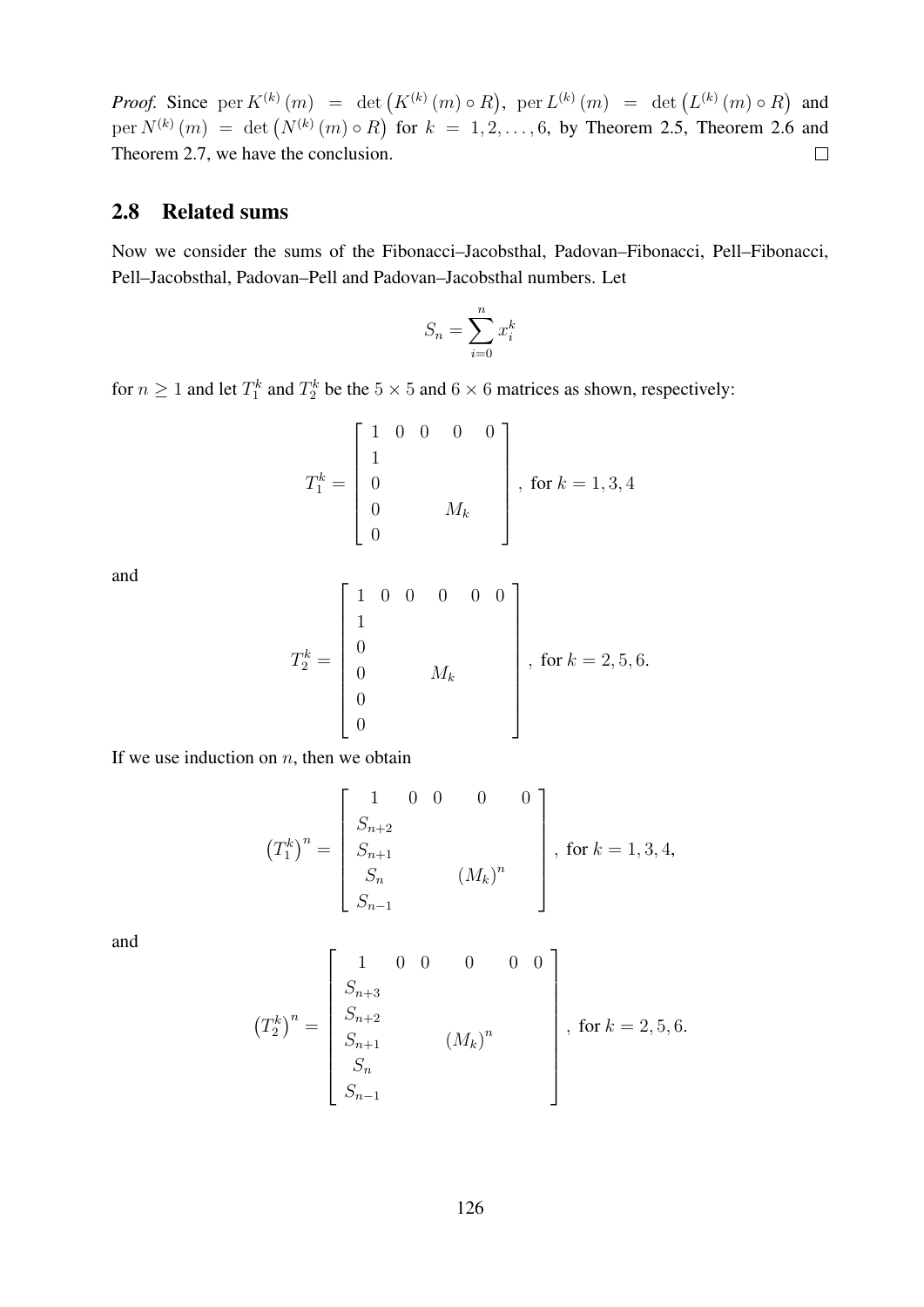*Proof.* Since  $per K^{(k)}(m) = det K^{(k)}(m) \circ R$ ,  $per L^{(k)}(m) = det (L^{(k)}(m) \circ R)$  and per  $N^{(k)}(m) = \det (N^{(k)}(m) \circ R)$  for  $k = 1, 2, ..., 6$ , by Theorem 2.5, Theorem 2.6 and Theorem 2.7, we have the conclusion.  $\Box$ 

#### 2.8 Related sums

Now we consider the sums of the Fibonacci–Jacobsthal, Padovan–Fibonacci, Pell–Fibonacci, Pell–Jacobsthal, Padovan–Pell and Padovan–Jacobsthal numbers. Let

$$
S_n = \sum_{i=0}^n x_i^k
$$

for  $n \ge 1$  and let  $T_1^k$  and  $T_2^k$  be the  $5 \times 5$  and  $6 \times 6$  matrices as shown, respectively:

$$
T_1^k = \begin{bmatrix} 1 & 0 & 0 & 0 & 0 \\ 1 & & & & \\ 0 & & & & \\ 0 & & & M_k & \\ 0 & & & & \end{bmatrix}, \text{ for } k = 1, 3, 4
$$

and

$$
T_2^k = \begin{bmatrix} 1 & 0 & 0 & 0 & 0 & 0 \\ 1 & & & & & \\ 0 & & & & & \\ 0 & & & M_k & & \\ 0 & & & & & \\ 0 & & & & & \\ 0 & & & & & \end{bmatrix}, \text{ for } k = 2, 5, 6.
$$

If we use induction on  $n$ , then we obtain

$$
(T_1^k)^n = \begin{bmatrix} 1 & 0 & 0 & 0 & 0 \ S_{n+2} & & & \\ S_{n+1} & & & & \\ S_n & & (M_k)^n & \\ S_{n-1} & & & \end{bmatrix}, \text{ for } k = 1, 3, 4,
$$

and

$$
\left(T_2^k\right)^n = \begin{bmatrix} 1 & 0 & 0 & 0 & 0 & 0 \ S_{n+3} & & & & \\ S_{n+2} & & & & & \\ S_{n+1} & & & & & \\ S_n & & & & & \\ S_n & & & & & \\ S_{n-1} & & & & \end{bmatrix}, \text{ for } k = 2, 5, 6.
$$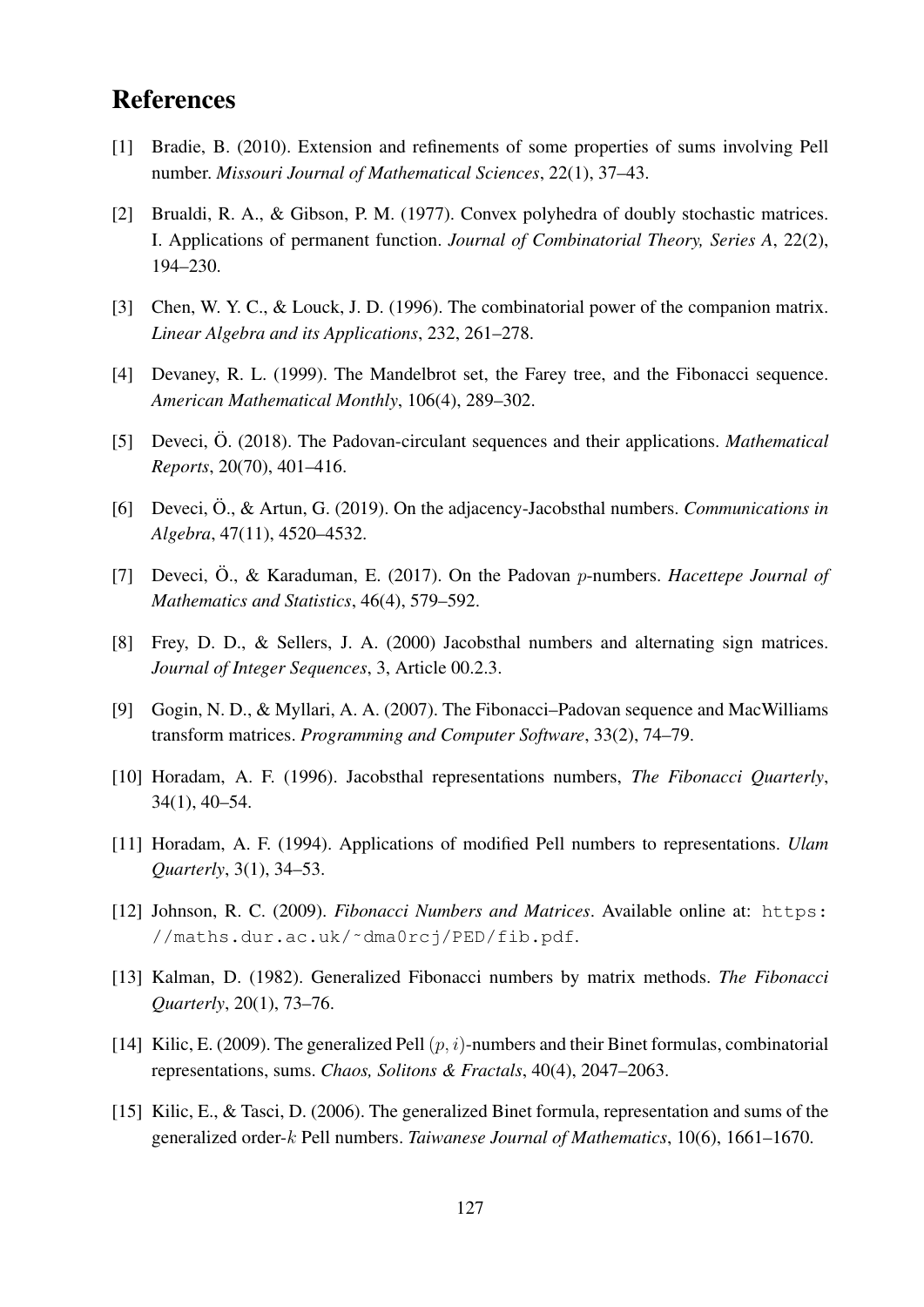## References

- [1] Bradie, B. (2010). Extension and refinements of some properties of sums involving Pell number. *Missouri Journal of Mathematical Sciences*, 22(1), 37–43.
- [2] Brualdi, R. A., & Gibson, P. M. (1977). Convex polyhedra of doubly stochastic matrices. I. Applications of permanent function. *Journal of Combinatorial Theory, Series A*, 22(2), 194–230.
- [3] Chen, W. Y. C., & Louck, J. D. (1996). The combinatorial power of the companion matrix. *Linear Algebra and its Applications*, 232, 261–278.
- [4] Devaney, R. L. (1999). The Mandelbrot set, the Farey tree, and the Fibonacci sequence. *American Mathematical Monthly*, 106(4), 289–302.
- [5] Deveci, Ö. (2018). The Padovan-circulant sequences and their applications. *Mathematical Reports*, 20(70), 401–416.
- [6] Deveci, Ö., & Artun, G. (2019). On the adjacency-Jacobsthal numbers. *Communications in Algebra*, 47(11), 4520–4532.
- [7] Deveci, Ö., & Karaduman, E. (2017). On the Padovan p-numbers. *Hacettepe Journal of Mathematics and Statistics*, 46(4), 579–592.
- [8] Frey, D. D., & Sellers, J. A. (2000) Jacobsthal numbers and alternating sign matrices. *Journal of Integer Sequences*, 3, Article 00.2.3.
- [9] Gogin, N. D., & Myllari, A. A. (2007). The Fibonacci–Padovan sequence and MacWilliams transform matrices. *Programming and Computer Software*, 33(2), 74–79.
- [10] Horadam, A. F. (1996). Jacobsthal representations numbers, *The Fibonacci Quarterly*, 34(1), 40–54.
- [11] Horadam, A. F. (1994). Applications of modified Pell numbers to representations. *Ulam Quarterly*, 3(1), 34–53.
- [12] Johnson, R. C. (2009). *Fibonacci Numbers and Matrices*. Available online at: https: //maths.dur.ac.uk/˜dma0rcj/PED/fib.pdf.
- [13] Kalman, D. (1982). Generalized Fibonacci numbers by matrix methods. *The Fibonacci Quarterly*, 20(1), 73–76.
- [14] Kilic, E. (2009). The generalized Pell  $(p, i)$ -numbers and their Binet formulas, combinatorial representations, sums. *Chaos, Solitons & Fractals*, 40(4), 2047–2063.
- [15] Kilic, E., & Tasci, D. (2006). The generalized Binet formula, representation and sums of the generalized order-k Pell numbers. *Taiwanese Journal of Mathematics*, 10(6), 1661–1670.